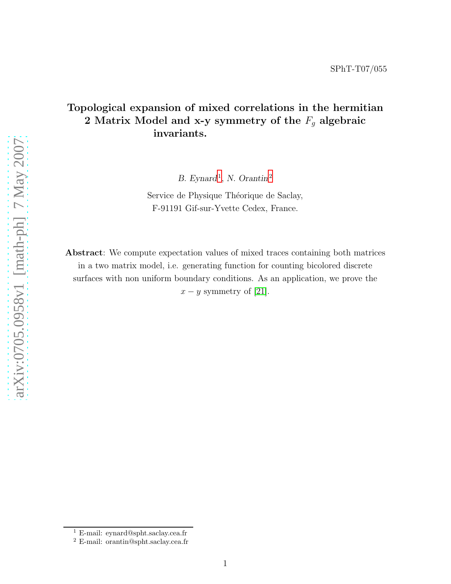# Topological expansion of mixed correlations in the hermitian 2 Matrix Model and x-y symmetry of the  $F_g$  algebraic invariants.

B. Eynard<sup>[1](#page-0-0)</sup>, N. Orantin<sup>[2](#page-0-1)</sup>

Service de Physique Théorique de Saclay, F-91191 Gif-sur-Yvette Cedex, France.

Abstract: We compute expectation values of mixed traces containing both matrices in a two matrix model, i.e. generating function for counting bicolored discrete surfaces with non uniform boundary conditions. As an application, we prove the  $x - y$  symmetry of [\[21\]](#page-35-0).

<sup>1</sup> E-mail: eynard@spht.saclay.cea.fr

<span id="page-0-1"></span><span id="page-0-0"></span><sup>2</sup> E-mail: orantin@spht.saclay.cea.fr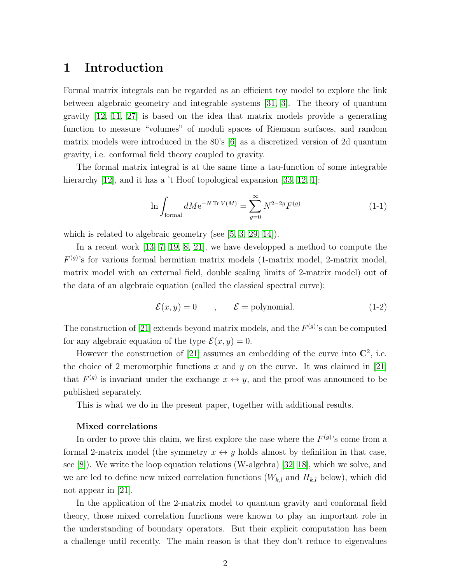## 1 Introduction

Formal matrix integrals can be regarded as an efficient toy model to explore the link between algebraic geometry and integrable systems [\[31,](#page-36-0) [3\]](#page-34-0). The theory of quantum gravity [\[12,](#page-34-1) [11,](#page-34-2) [27\]](#page-35-1) is based on the idea that matrix models provide a generating function to measure "volumes" of moduli spaces of Riemann surfaces, and random matrix models were introduced in the 80's [\[6\]](#page-34-3) as a discretized version of 2d quantum gravity, i.e. conformal field theory coupled to gravity.

The formal matrix integral is at the same time a tau-function of some integrable hierarchy [\[12\]](#page-34-1), and it has a 't Hoof topological expansion [\[33,](#page-36-1) [12,](#page-34-1) [1\]](#page-33-0):

$$
\ln \int_{\text{formal}} dM e^{-N \text{ Tr } V(M)} = \sum_{g=0}^{\infty} N^{2-2g} F^{(g)} \tag{1-1}
$$

which is related to algebraic geometry (see [\[5,](#page-34-4) [3,](#page-34-0) [29,](#page-35-2) [14\]](#page-34-5)).

In a recent work [\[13,](#page-34-6) [7,](#page-34-7) [19,](#page-35-3) [8,](#page-34-8) [21\]](#page-35-0), we have developped a method to compute the  $F^{(g)}$ 's for various formal hermitian matrix models (1-matrix model, 2-matrix model, matrix model with an external field, double scaling limits of 2-matrix model) out of the data of an algebraic equation (called the classical spectral curve):

$$
\mathcal{E}(x, y) = 0 \qquad , \qquad \mathcal{E} = \text{polynomial.} \tag{1-2}
$$

The construction of [\[21\]](#page-35-0) extends beyond matrix models, and the  $F^{(g)}$ 's can be computed for any algebraic equation of the type  $\mathcal{E}(x, y) = 0$ .

However the construction of [\[21\]](#page-35-0) assumes an embedding of the curve into  $\mathbb{C}^2$ , i.e. the choice of 2 meromorphic functions x and y on the curve. It was claimed in [\[21\]](#page-35-0) that  $F^{(g)}$  is invariant under the exchange  $x \leftrightarrow y$ , and the proof was announced to be published separately.

This is what we do in the present paper, together with additional results.

#### Mixed correlations

In order to prove this claim, we first explore the case where the  $F^{(g)}$ 's come from a formal 2-matrix model (the symmetry  $x \leftrightarrow y$  holds almost by definition in that case, see [\[8\]](#page-34-8)). We write the loop equation relations (W-algebra) [\[32,](#page-36-2) [18\]](#page-35-4), which we solve, and we are led to define new mixed correlation functions  $(W_{k,l}$  and  $H_{k,l}$  below), which did not appear in [\[21\]](#page-35-0).

In the application of the 2-matrix model to quantum gravity and conformal field theory, those mixed correlation functions were known to play an important role in the understanding of boundary operators. But their explicit computation has been a challenge until recently. The main reason is that they don't reduce to eigenvalues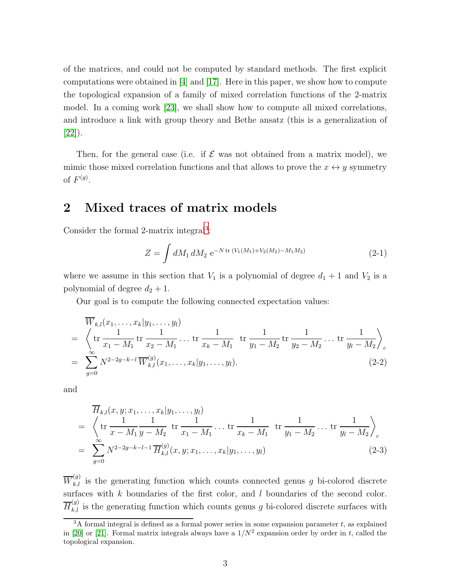of the matrices, and could not be computed by standard methods. The first explicit computations were obtained in [\[4\]](#page-34-9) and [\[17\]](#page-35-5). Here in this paper, we show how to compute the topological expansion of a family of mixed correlation functions of the 2-matrix model. In a coming work [\[23\]](#page-35-6), we shall show how to compute all mixed correlations, and introduce a link with group theory and Bethe ansatz (this is a generalization of [\[22\]](#page-35-7)).

Then, for the general case (i.e. if  $\mathcal E$  was not obtained from a matrix model), we mimic those mixed correlation functions and that allows to prove the  $x \leftrightarrow y$  symmetry of  $F^{(g)}$ .

# 2 Mixed traces of matrix models

Consider the formal 2-matrix integral<sup>[3](#page-2-0)</sup>:

$$
Z = \int dM_1 dM_2 \ e^{-N \operatorname{tr} (V_1(M_1) + V_2(M_2) - M_1M_2)} \tag{2-1}
$$

where we assume in this section that  $V_1$  is a polynomial of degree  $d_1 + 1$  and  $V_2$  is a polynomial of degree  $d_2 + 1$ .

Our goal is to compute the following connected expectation values:

$$
\overline{W}_{k,l}(x_1, \dots, x_k | y_1, \dots, y_l) \n= \left\langle \text{tr} \frac{1}{x_1 - M_1} \text{tr} \frac{1}{x_2 - M_1} \dots \text{tr} \frac{1}{x_k - M_1} \text{tr} \frac{1}{y_1 - M_2} \text{tr} \frac{1}{y_2 - M_2} \dots \text{tr} \frac{1}{y_l - M_2} \right\rangle_c \n= \sum_{g=0}^{\infty} N^{2-2g-k-l} \overline{W}_{k,l}^{(g)}(x_1, \dots, x_k | y_1, \dots, y_l).
$$
\n(2-2)

and

$$
\overline{H}_{k,l}(x, y; x_1, \dots, x_k | y_1, \dots, y_l) \n= \left\langle \text{tr} \frac{1}{x - M_1} \frac{1}{y - M_2} \text{tr} \frac{1}{x_1 - M_1} \dots \text{tr} \frac{1}{x_k - M_1} \text{tr} \frac{1}{y_1 - M_2} \dots \text{tr} \frac{1}{y_l - M_2} \right\rangle_c \n= \sum_{g=0}^{\infty} N^{2-2g-k-l-1} \overline{H}_{k,l}^{(g)}(x, y; x_1, \dots, x_k | y_1, \dots, y_l)
$$
\n(2-3)

 $\overline{W}_{k,l}^{(g)}$  is the generating function which counts connected genus g bi-colored discrete surfaces with  $k$  boundaries of the first color, and  $l$  boundaries of the second color.  $\overline{H}_{k,l}^{(g)}$  is the generating function which counts genus g bi-colored discrete surfaces with

<span id="page-2-0"></span> $3A$  formal integral is defined as a formal power series in some expansion parameter t, as explained in [\[20\]](#page-35-8) or [\[21\]](#page-35-0). Formal matrix integrals always have a  $1/N^2$  expansion order by order in t, called the topological expansion.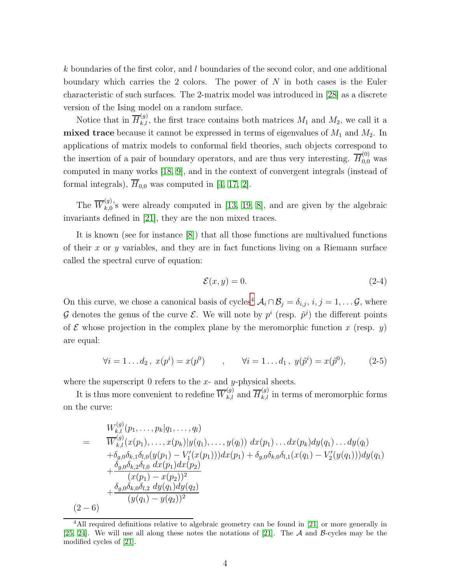$k$  boundaries of the first color, and  $l$  boundaries of the second color, and one additional boundary which carries the 2 colors. The power of  $N$  in both cases is the Euler characteristic of such surfaces. The 2-matrix model was introduced in [\[28\]](#page-35-9) as a discrete version of the Ising model on a random surface.

Notice that in  $\overline{H}_{k,l}^{(g)}$ , the first trace contains both matrices  $M_1$  and  $M_2$ , we call it a mixed trace because it cannot be expressed in terms of eigenvalues of  $M_1$  and  $M_2$ . In applications of matrix models to conformal field theories, such objects correspond to the insertion of a pair of boundary operators, and are thus very interesting.  $\overline{H}_{0,0}^{(0)}$  was computed in many works [\[18,](#page-35-4) [9\]](#page-34-10), and in the context of convergent integrals (instead of formal integrals),  $\overline{H}_{0,0}$  was computed in [\[4,](#page-34-9) [17,](#page-35-5) [2\]](#page-34-11).

The  $\overline{W}_{k,0}^{(g)}$  $_{k,0}^{(9)}$ 's were already computed in [\[13,](#page-34-6) [19,](#page-35-3) [8\]](#page-34-8), and are given by the algebraic invariants defined in [\[21\]](#page-35-0), they are the non mixed traces.

It is known (see for instance [\[8\]](#page-34-8)) that all those functions are multivalued functions of their  $x$  or  $y$  variables, and they are in fact functions living on a Riemann surface called the spectral curve of equation:

$$
\mathcal{E}(x, y) = 0.\tag{2-4}
$$

On this curve, we chose a canonical basis of cycles<sup>[4](#page-3-0)</sup>  $\mathcal{A}_i \cap \mathcal{B}_j = \delta_{i,j}, i, j = 1, \ldots \mathcal{G}$ , where G denotes the genus of the curve  $\mathcal{E}$ . We will note by  $p^i$  (resp.  $\tilde{p}^j$ ) the different points of E whose projection in the complex plane by the meromorphic function x (resp. y) are equal:

$$
\forall i = 1...d_2, \ x(p^i) = x(p^0) \qquad , \qquad \forall i = 1...d_1, \ y(\tilde{p}^i) = x(\tilde{p}^0), \tag{2-5}
$$

where the superscript 0 refers to the  $x$ - and  $y$ -physical sheets.

It is thus more convenient to redefine  $\overline{W}_{k,l}^{(g)}$  and  $\overline{H}_{k,l}^{(g)}$  in terms of meromorphic forms on the curve:

$$
W_{k,l}^{(g)}(p_1, \ldots, p_k|q_1, \ldots, q_l)
$$
\n
$$
= \frac{\overline{W}_{k,l}^{(g)}(x(p_1), \ldots, x(p_k)|y(q_1), \ldots, y(q_l)) dx(p_1) \ldots dx(p_k)dy(q_1) \ldots dy(q_l)}{+\delta_{g,0}\delta_{k,1}\delta_{l,0}(y(p_1) - V_1'(x(p_1)))dx(p_1) + \delta_{g,0}\delta_{k,0}\delta_{l,1}(x(q_1) - V_2'(y(q_1)))dy(q_1) + \frac{\delta_{g,0}\delta_{k,2}\delta_{l,0} dx(p_1)dx(p_2)}{(x(p_1) - x(p_2))^2} + \frac{\delta_{g,0}\delta_{k,0}\delta_{l,2} dy(q_1)dy(q_2)}{(y(q_1) - y(q_2))^2}
$$
\n
$$
(2-6)
$$

<span id="page-3-0"></span><sup>&</sup>lt;sup>4</sup>All required definitions relative to algebraic geometry can be found in [\[21\]](#page-35-0) or more generally in [\[25,](#page-35-10) [24\]](#page-35-11). We will use all along these notes the notations of [\[21\]](#page-35-0). The  $\mathcal A$  and  $\mathcal B$ -cycles may be the modified cycles of [\[21\]](#page-35-0).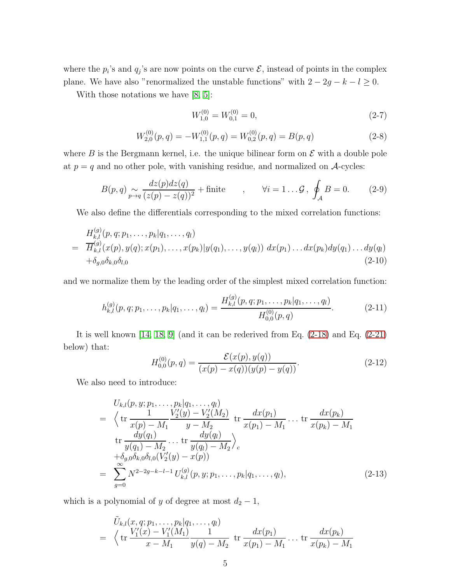where the  $p_i$ 's and  $q_j$ 's are now points on the curve  $\mathcal{E}$ , instead of points in the complex plane. We have also "renormalized the unstable functions" with  $2 - 2g - k - l \ge 0$ .

With those notations we have [\[8,](#page-34-8) [5\]](#page-34-4):

$$
W_{1,0}^{(0)} = W_{0,1}^{(0)} = 0,\t\t(2-7)
$$

$$
W_{2,0}^{(0)}(p,q) = -W_{1,1}^{(0)}(p,q) = W_{0,2}^{(0)}(p,q) = B(p,q)
$$
\n(2-8)

where B is the Bergmann kernel, i.e. the unique bilinear form on  $\mathcal E$  with a double pole at  $p = q$  and no other pole, with vanishing residue, and normalized on A-cycles:

$$
B(p,q) \underset{p \to q}{\sim} \frac{dz(p)dz(q)}{(z(p) - z(q))^2} + \text{finite} \qquad , \qquad \forall i = 1 \dots \mathcal{G} \, , \, \oint_{\mathcal{A}} B = 0. \tag{2-9}
$$

We also define the differentials corresponding to the mixed correlation functions:

$$
H_{k,l}^{(g)}(p,q;p_1,\ldots,p_k|q_1,\ldots,q_l)
$$
  
=  $\overline{H}_{k,l}^{(g)}(x(p),y(q);x(p_1),\ldots,x(p_k)|y(q_1),\ldots,y(q_l)) dx(p_1)\ldots dx(p_k)dy(q_1)\ldots dy(q_l)$   
+ $\delta_{g,0}\delta_{k,0}\delta_{l,0}$  (2-10)

and we normalize them by the leading order of the simplest mixed correlation function:

 $\sqrt{g}$ 

$$
h_{k,l}^{(g)}(p,q;p_1,\ldots,p_k|q_1,\ldots,q_l) = \frac{H_{k,l}^{(g)}(p,q;p_1,\ldots,p_k|q_1,\ldots,q_l)}{H_{0,0}^{(0)}(p,q)}.
$$
 (2-11)

It is well known [\[14,](#page-34-5) [18,](#page-35-4) [9\]](#page-34-10) (and it can be rederived from Eq. [\(2-18\)](#page-5-0) and Eq. [\(2-21\)](#page-6-0) below) that:

$$
H_{0,0}^{(0)}(p,q) = \frac{\mathcal{E}(x(p), y(q))}{(x(p) - x(q))(y(p) - y(q))}.
$$
 (2-12)

We also need to introduce:

$$
U_{k,l}(p, y; p_1, \dots, p_k | q_1, \dots, q_l)
$$
\n
$$
= \left\langle \text{tr} \frac{1}{x(p) - M_1} \frac{V_2'(y) - V_2'(M_2)}{y - M_2} \text{tr} \frac{dx(p_1)}{x(p_1) - M_1} \dots \text{tr} \frac{dx(p_k)}{x(p_k) - M_1} \right\rangle
$$
\n
$$
\text{tr} \frac{dy(q_1)}{y(q_1) - M_2} \dots \text{tr} \frac{dy(q_l)}{y(q_l) - M_2} \right\rangle_c
$$
\n
$$
+ \delta_{g,0} \delta_{k,0} \delta_{l,0} (V_2'(y) - x(p))
$$
\n
$$
= \sum_{g=0}^{\infty} N^{2-2g-k-l-1} U_{k,l}^{(g)}(p, y; p_1, \dots, p_k | q_1, \dots, q_l), \qquad (2-13)
$$

which is a polynomial of y of degree at most  $d_2 - 1$ ,

$$
\tilde{U}_{k,l}(x,q;p_1,\ldots,p_k|q_1,\ldots,q_l) = \left\langle \text{tr}\frac{V'_1(x)-V'_1(M_1)}{x-M_1}\frac{1}{y(q)-M_2} \text{tr}\frac{dx(p_1)}{x(p_1)-M_1}\ldots \text{tr}\frac{dx(p_k)}{x(p_k)-M_1} \right\}
$$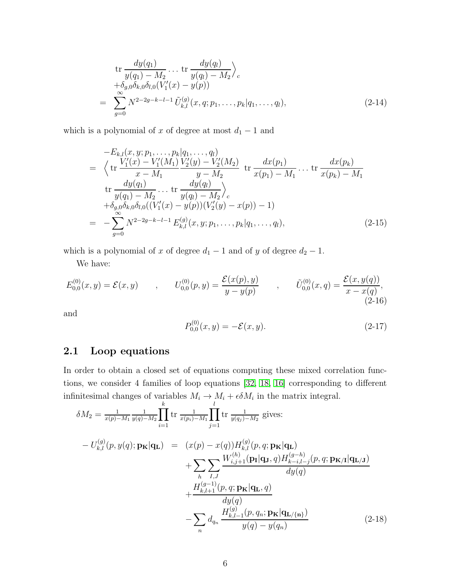$$
\text{tr}\frac{dy(q_1)}{y(q_1) - M_2} \dots \text{tr}\frac{dy(q_l)}{y(q_l) - M_2}\Big|_{c} \n+ \delta_{g,0} \delta_{k,0} \delta_{l,0} (V_1'(x) - y(p)) \n= \sum_{g=0}^{\infty} N^{2-2g-k-l-1} \tilde{U}_{k,l}^{(g)}(x, q; p_1, \dots, p_k | q_1, \dots, q_l),
$$
\n(2-14)

which is a polynomial of x of degree at most  $d_1 - 1$  and

$$
-E_{k,l}(x, y; p_1, \dots, p_k|q_1, \dots, q_l)
$$
  
=  $\langle \text{tr} \frac{V'_1(x) - V'_1(M_1)}{x - M_1} \frac{V'_2(y) - V'_2(M_2)}{y - M_2} \text{ tr} \frac{dx(p_1)}{x(p_1) - M_1} \dots \text{ tr} \frac{dx(p_k)}{x(p_k) - M_1}$   
tr  $\frac{dy(q_1)}{y(q_1) - M_2} \dots \text{ tr} \frac{dy(q_l)}{y(q_l) - M_2}$   
+  $\delta_{g,0} \delta_{k,0} \delta_{l,0} ((V'_1(x) - y(p))(V'_2(y) - x(p)) - 1)$   
=  $-\sum_{g=0}^{\infty} N^{2-2g-k-l-1} E_{k,l}^{(g)}(x, y; p_1, \dots, p_k|q_1, \dots, q_l),$  (2-15)

which is a polynomial of x of degree  $d_1 - 1$  and of y of degree  $d_2 - 1$ .

We have:

$$
E_{0,0}^{(0)}(x,y) = \mathcal{E}(x,y) \qquad , \qquad U_{0,0}^{(0)}(p,y) = \frac{\mathcal{E}(x(p),y)}{y-y(p)} \qquad , \qquad \tilde{U}_{0,0}^{(0)}(x,q) = \frac{\mathcal{E}(x,y(q))}{x-x(q)}, \tag{2-16}
$$

and

$$
P_{0,0}^{(0)}(x,y) = -\mathcal{E}(x,y). \tag{2-17}
$$

### 2.1 Loop equations

In order to obtain a closed set of equations computing these mixed correlation functions, we consider 4 families of loop equations [\[32,](#page-36-2) [18,](#page-35-4) [16\]](#page-35-12) corresponding to different infinitesimal changes of variables  $M_i \to M_i + \epsilon \delta M_i$  in the matrix integral.

<span id="page-5-0"></span>
$$
\delta M_2 = \frac{1}{x(p)-M_1} \frac{1}{y(q)-M_2} \prod_{i=1}^k \text{tr } \frac{1}{x(p_i)-M_1} \prod_{j=1}^l \text{tr } \frac{1}{y(q_j)-M_2} \text{ gives:}
$$
  
\n
$$
- U_{k,l}^{(g)}(p, y(q); \mathbf{p_K}|\mathbf{q_L}) = (x(p) - x(q))H_{k,l}^{(g)}(p, q; \mathbf{p_K}|\mathbf{q_L}) + \sum_{h} \sum_{I,J} \frac{W_{i,j+1}^{(h)}(\mathbf{p_I}|\mathbf{q_J}, q)H_{k-i,l-j}^{(g-h)}(p, q; \mathbf{p_K}/\mathbf{q_L}/\mathbf{J})}{dy(q)} + \frac{H_{k,l+1}^{(g-1)}(p, q; \mathbf{p_K}|\mathbf{q_L}, q)}{dy(q)} - \sum_{n} d_{q_n} \frac{H_{k,l-1}^{(g)}(p, q_n; \mathbf{p_K}|\mathbf{q_L}/\mathbf{q_L})}{y(q) - y(q_n)}
$$
(2-18)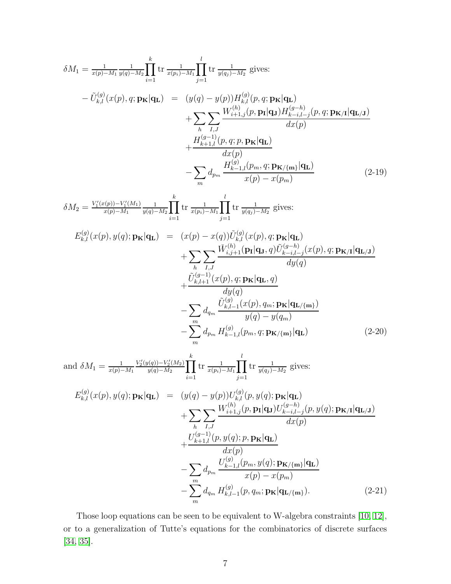<span id="page-6-2"></span><span id="page-6-1"></span>
$$
\delta M_{1} = \frac{1}{x_{(p)}-M_{1}} \frac{1}{y_{(q)}-M_{2}} \prod_{i=1}^{k} \text{tr } \frac{1}{x_{(p_{i})}-M_{1}} \prod_{j=1}^{l} \text{tr } \frac{1}{y_{(q_{j})}-M_{2}} \text{ gives:}
$$
\n
$$
- \tilde{U}_{k,l}^{(g)}(x(p), q; \mathbf{p}_{\mathbf{K}}|\mathbf{q}_{\mathbf{L}}) = (y(q) - y(p))H_{k,l}^{(g)}(p, q; \mathbf{p}_{\mathbf{K}}|\mathbf{q}_{\mathbf{L}})
$$
\n
$$
+ \sum_{h} \sum_{l=1}^{l} \frac{W_{i+1,l}^{(h)}(p, \mathbf{p}_{l}|\mathbf{q}_{h})H_{k-i,l-j}^{(g)}(p, q; \mathbf{p}_{\mathbf{K}}|\mathbf{q}_{\mathbf{L},j})}{dx(p)}
$$
\n
$$
+ \frac{H_{k+1,l}^{(g)}(p, q; p, \mathbf{p}_{\mathbf{K}}|\mathbf{q}_{\mathbf{L}})}{x(p)}
$$
\n
$$
- \sum_{m} d_{m} \frac{H_{k-1,l}^{(g)}(p, q; \mathbf{p}_{\mathbf{K}}|\mathbf{q}_{\mathbf{L}})}{x(p) - x(p_{m})}
$$
\n(2-19)  
\n
$$
\delta M_{2} = \frac{V_{l}'(x(p)) - V_{l}'(M_{1})}{x(p) - M_{1}} \frac{1}{y(q) - M_{2}} \prod_{i=1}^{k} \text{tr } \frac{1}{x(p_{i}) - M_{1}} \prod_{j=1}^{l} \text{tr } \frac{1}{y(q_{i}) - M_{2}} \text{ gives:}
$$
\n
$$
E_{k,l}^{(g)}(x(p), y(q); \mathbf{p}_{\mathbf{K}}|\mathbf{q}_{\mathbf{L}}) = (x(p) - x(q))\tilde{U}_{k,l}^{(g)}(x(p), q; \mathbf{p}_{\mathbf{K}}|\mathbf{q}_{\mathbf{L}})
$$
\n
$$
+ \sum_{h} \sum_{l,j} \frac{\tilde{W}_{k,j+1}^{(h)}(\mathbf{p}_{l}|\mathbf{q}_{J}, q) \tilde{U}_{k-1,l-j}^{(g)}(x(p), q
$$

<span id="page-6-0"></span>Those loop equations can be seen to be equivalent to W-algebra constraints [\[10,](#page-34-12) [12\]](#page-34-1), or to a generalization of Tutte's equations for the combinatorics of discrete surfaces [\[34,](#page-36-3) [35\]](#page-36-4).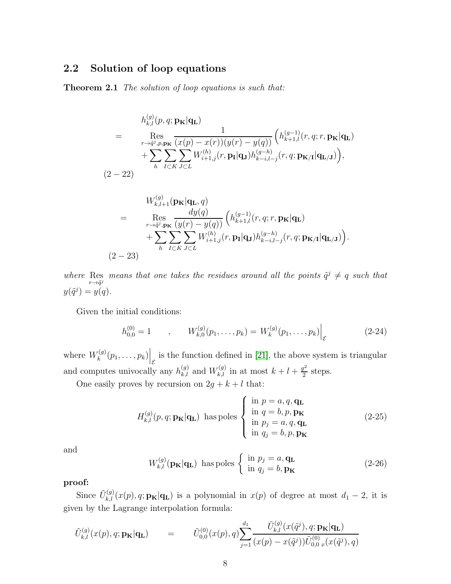### <span id="page-7-2"></span>2.2 Solution of loop equations

Theorem 2.1 *The solution of loop equations is such that:*

<span id="page-7-0"></span>
$$
h_{k,l}^{(g)}(p,q; \mathbf{p}_{\mathbf{K}}|\mathbf{q}_{\mathbf{L}})
$$
\n
$$
= \operatorname{Res}_{r \to \tilde{q}^{j}, p, \mathbf{p}_{\mathbf{K}}} \frac{1}{(x(p) - x(r))(y(r) - y(q))} \left( h_{k+1,l}^{(g-1)}(r,q; r, \mathbf{p}_{\mathbf{K}}|\mathbf{q}_{\mathbf{L}}) + \sum_{h} \sum_{I \subset K} \sum_{J \subset L} W_{i+1,j}^{(h)}(r, \mathbf{p}_{\mathbf{I}}|\mathbf{q}_{\mathbf{J}}) h_{k-i,l-j}^{(g-h)}(r,q; \mathbf{p}_{\mathbf{K}}|\mathbf{q}_{\mathbf{L}}|\mathbf{q}_{\mathbf{J}}) \right),
$$
\n
$$
2 - 22)
$$
\n
$$
W_{k,l+1}^{(g)}(\mathbf{p}_{\mathbf{K}}|\mathbf{q}_{\mathbf{L}}, q)
$$
\n
$$
= \operatorname{Res}_{d y(q)} \frac{dy(q)}{(y(r) - y(q))} \left( h_{k+1,l}^{(g-1)}(r,q; r, \mathbf{p}_{\mathbf{K}}|\mathbf{q}_{\mathbf{L}}) \right)
$$

$$
= \operatorname{Res}_{r \to \tilde{q}^j, \mathbf{p}_{\mathbf{K}}} \frac{\operatorname{Res}_{(y(r) - y(q))} \left( h_{k+1,l}^{(y)}(r, q; r, \mathbf{p}_{\mathbf{K}} | \mathbf{q}_{\mathbf{L}}) \right)}{ \sum_{h} \sum_{I \subset K} \sum_{J \subset L} W_{i+1,j}^{(h)}(r, \mathbf{p}_{\mathbf{I}} | \mathbf{q}_{\mathbf{J}}) h_{k-i,l-j}^{(g-h)}(r, q; \mathbf{p}_{\mathbf{K}/\mathbf{I}} | \mathbf{q}_{\mathbf{L}/\mathbf{J}}) \right).}
$$
\n(2-23)

where Res means that one takes the residues around all the points  $\tilde{q}^j \neq q$  such that  $y(\tilde{q}^j) = y(q).$ 

Given the initial conditions:

<span id="page-7-1"></span> $($ 

$$
h_{0,0}^{(0)} = 1 \t, \t W_{k,0}^{(g)}(p_1,\ldots,p_k) = W_k^{(g)}(p_1,\ldots,p_k)\Big|_{\mathcal{E}} \t (2-24)
$$

where  $W_k^{(g)}$  $\mathcal{L}_{k}^{(g)}(p_1,\ldots,p_k)\Big|_{\mathcal{E}}$  is the function defined in [\[21\]](#page-35-0), the above system is triangular and computes univocally any  $h_{k,l}^{(g)}$  and  $W_{k,l}^{(g)}$  in at most  $k+l+\frac{g^2}{2}$  $\frac{y^2}{2}$  steps.

One easily proves by recursion on  $2g + k + l$  that:

$$
H_{k,l}^{(g)}(p,q; \mathbf{p}_{\mathbf{K}}|\mathbf{q}_{\mathbf{L}}) \text{ has poles } \begin{cases} \text{ in } p = a, q, \mathbf{q}_{\mathbf{L}} \\ \text{ in } q = b, p, \mathbf{p}_{\mathbf{K}} \\ \text{ in } p_j = a, q, \mathbf{q}_{\mathbf{L}} \\ \text{ in } q_j = b, p, \mathbf{p}_{\mathbf{K}} \end{cases} \tag{2-25}
$$

and

$$
W_{k,l}^{(g)}(\mathbf{p}_{\mathbf{K}}|\mathbf{q}_{\mathbf{L}}) \text{ has poles } \begin{cases} \text{ in } p_j = a, \mathbf{q}_{\mathbf{L}} \\ \text{ in } q_j = b, \mathbf{p}_{\mathbf{K}} \end{cases}
$$
 (2-26)

proof:

Since  $\tilde{U}_{k,l}^{(g)}(x(p), q; \mathbf{p}_{\mathbf{K}}|\mathbf{q}_{\mathbf{L}})$  is a polynomial in  $x(p)$  of degree at most  $d_1-2$ , it is given by the Lagrange interpolation formula:

$$
\tilde{U}_{k,l}^{(g)}(x(p), q; \mathbf{p}_{\mathbf{K}}|\mathbf{q}_{\mathbf{L}}) = \tilde{U}_{0,0}^{(0)}(x(p), q) \sum_{j=1}^{d_1} \frac{\tilde{U}_{k,l}^{(g)}(x(\tilde{q}^j), q; \mathbf{p}_{\mathbf{K}}|\mathbf{q}_{\mathbf{L}})}{(x(p) - x(\tilde{q}^j))\tilde{U}_{0,0}^{(0)}(x(\tilde{q}^j), q)}
$$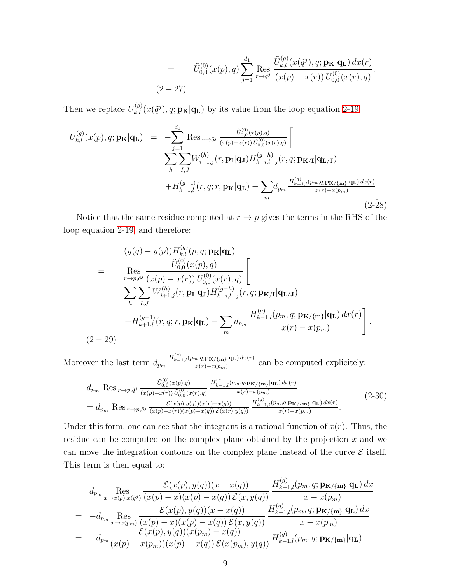$$
= \tilde{U}_{0,0}^{(0)}(x(p), q) \sum_{j=1}^{d_1} \operatorname{Res}_{r \to \tilde{q}^j} \frac{\tilde{U}_{k,l}^{(g)}(x(\tilde{q}^j), q; \mathbf{p}_{\mathbf{K}} | \mathbf{q}_{\mathbf{L}}) dx(r)}{(x(p) - x(r)) \tilde{U}_{0,0}^{(0)}(x(r), q)}.
$$
  
(2-27)

Then we replace  $\tilde{U}_{k,l}^{(g)}(x(\tilde{q}^j), q; \mathbf{p}_{\mathbf{K}}|\mathbf{q}_{\mathbf{L}})$  by its value from the loop equation [2-19:](#page-6-1)

$$
\tilde{U}_{k,l}^{(g)}(x(p), q; \mathbf{p}_{\mathbf{K}}|\mathbf{q}_{\mathbf{L}}) = -\sum_{j=1}^{d_1} \text{Res}_{r \to \tilde{q}^j} \frac{\tilde{U}_{0,0}^{(0)}(x(p), q)}{(x(p) - x(r)) \tilde{U}_{0,0}^{(0)}(x(r), q)} \left[ \sum_{h} \sum_{I,J} W_{i+1,j}^{(h)}(r, \mathbf{p}_{\mathbf{I}}|\mathbf{q}_{\mathbf{J}}) H_{k-i,l-j}^{(g-h)}(r, q; \mathbf{p}_{\mathbf{K}/\mathbf{I}}|\mathbf{q}_{\mathbf{L}/\mathbf{J}}) + H_{k+1,l}^{(g-1)}(r, q; r, \mathbf{p}_{\mathbf{K}}|\mathbf{q}_{\mathbf{L}}) - \sum_{m} d_{p_m} \frac{H_{k-1,l}^{(g)}(p_m, q; \mathbf{p}_{\mathbf{K}/\{\mathbf{m}\}}|\mathbf{q}_{\mathbf{L}}) dx(r)}{x(r) - x(p_m)} \right]
$$
\n(2-28)

Notice that the same residue computed at  $r \to p$  gives the terms in the RHS of the loop equation [2-19,](#page-6-1) and therefore:

$$
(y(q) - y(p))H_{k,l}^{(g)}(p,q; \mathbf{p}_{\mathbf{K}}|\mathbf{q}_{\mathbf{L}})
$$
  
= 
$$
\operatorname{Res}_{r \to p,\tilde{q}^{j}} \frac{\tilde{U}_{0,0}^{(0)}(x(p), q)}{(x(p) - x(r)) \tilde{U}_{0,0}^{(0)}(x(r), q)} \left[\n\sum_{h} \sum_{I,J} W_{i+1,j}^{(h)}(r, \mathbf{p}_{\mathbf{I}}|\mathbf{q}_{\mathbf{J}}) H_{k-i,l-j}^{(g-h)}(r, q; \mathbf{p}_{\mathbf{K}/\mathbf{I}}|\mathbf{q}_{\mathbf{L}/\mathbf{J}})\n+ H_{k+1,l}^{(g-1)}(r, q; r, \mathbf{p}_{\mathbf{K}}|\mathbf{q}_{\mathbf{L}}) - \sum_{m} d_{p_m} \frac{H_{k-1,l}^{(g)}(p_m, q; \mathbf{p}_{\mathbf{K}/\{\mathbf{m}\}}|\mathbf{q}_{\mathbf{L}}) dx(r)}{x(r) - x(p_m)}\n\right].
$$
  
(2-29)

Moreover the last term  $d_{p_m} \frac{H_{k-1,l}^{(g)}(p_m,q;\mathbf{p}_{\mathbf{K}/\{\mathbf{m}\}}|\mathbf{q}_{\mathbf{L}}) dx(r)}{x(r)-x(p_m)}$  $\frac{n_1q_2R}{x(r)-x(p_m)}$  can be computed explicitely:

$$
d_{p_m} \operatorname{Res}_{r \to p, \tilde{q}^j} \frac{\tilde{U}_{0,0}^{(0)}(x(p), q)}{(x(p) - x(r)) \tilde{U}_{0,0}^{(0)}(x(r), q)} \frac{H_{k-1,l}^{(g)}(p_m, q; \mathbf{p}_{\mathbf{K}/\{\mathbf{m}\}} | \mathbf{q}_{\mathbf{L}}) dx(r)}{x(r) - x(p_m)} = d_{p_m} \operatorname{Res}_{r \to p, \tilde{q}^j} \frac{\mathcal{E}(x(p), y(q))(x(r) - x(q))}{(x(p) - x(r))(x(p) - x(q)) \mathcal{E}(x(r), y(q))} \frac{H_{k-1,l}^{(g)}(p_m, q; \mathbf{p}_{\mathbf{K}/\{\mathbf{m}\}} | \mathbf{q}_{\mathbf{L}}) dx(r)}{x(r) - x(p_m)}.
$$
\n(2-30)

Under this form, one can see that the integrant is a rational function of  $x(r)$ . Thus, the residue can be computed on the complex plane obtained by the projection x and we can move the integration contours on the complex plane instead of the curve  $\mathcal E$  itself. This term is then equal to:

$$
d_{p_m} \underset{x \to x(p), x(\tilde{q}^j)}{\text{Res}} \frac{\mathcal{E}(x(p), y(q))(x - x(q))}{(x(p) - x)(x(p) - x(q)) \mathcal{E}(x, y(q))} \frac{H_{k-1,l}^{(g)}(p_m, q; \mathbf{p}_{\mathbf{K}/\{\mathbf{m}\}}|\mathbf{q}_{\mathbf{L}}) dx}{x - x(p_m)}
$$
\n
$$
= -d_{p_m} \underset{x \to x(p_m)}{\text{Res}} \frac{\mathcal{E}(x(p), y(q))(x - x(q))}{(x(p) - x)(x(p) - x(q)) \mathcal{E}(x, y(q))} \frac{H_{k-1,l}^{(g)}(p_m, q; \mathbf{p}_{\mathbf{K}/\{\mathbf{m}\}}|\mathbf{q}_{\mathbf{L}}) dx}{x - x(p_m)}
$$
\n
$$
= -d_{p_m} \frac{\mathcal{E}(x(p), y(q))(x(p_m) - x(q))}{(x(p) - x(p_m))(x(p) - x(q)) \mathcal{E}(x(p_m), y(q))} H_{k-1,l}^{(g)}(p_m, q; \mathbf{p}_{\mathbf{K}/\{\mathbf{m}\}}|\mathbf{q}_{\mathbf{L}})
$$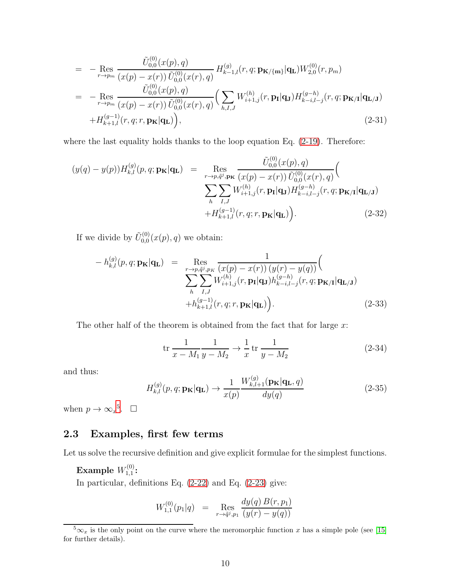$$
= - \underset{r \to p_m}{\text{Res}} \frac{\tilde{U}_{0,0}^{(0)}(x(p), q)}{(x(p) - x(r)) \tilde{U}_{0,0}^{(0)}(x(r), q)} H_{k-1,l}^{(g)}(r, q; \mathbf{p}_{\mathbf{K}/\{\mathbf{m}\}} | \mathbf{q}_{\mathbf{L}}) W_{2,0}^{(0)}(r, p_m)
$$
\n
$$
= - \underset{r \to p_m}{\text{Res}} \frac{\tilde{U}_{0,0}^{(0)}(x(p), q)}{(x(p) - x(r)) \tilde{U}_{0,0}^{(0)}(x(r), q)} \Big( \sum_{h, I, J} W_{i+1,j}^{(h)}(r, \mathbf{p}_{\mathbf{I}} | \mathbf{q}_{\mathbf{J}}) H_{k-i,l-j}^{(g-h)}(r, q; \mathbf{p}_{\mathbf{K}/\mathbf{I}} | \mathbf{q}_{\mathbf{L}/\mathbf{J}}) + H_{k+1,l}^{(g-1)}(r, q; r, \mathbf{p}_{\mathbf{K}} | \mathbf{q}_{\mathbf{L}}) \Big), \tag{2-31}
$$

where the last equality holds thanks to the loop equation Eq. [\(2-19\)](#page-6-1). Therefore:

$$
(y(q) - y(p))H_{k,l}^{(g)}(p,q; \mathbf{p}_{\mathbf{K}}|\mathbf{q}_{\mathbf{L}}) = \operatorname{Res}_{r \to p,\tilde{q}^{j},\mathbf{p}_{\mathbf{K}}} \frac{\tilde{U}_{0,0}^{(0)}(x(p), q)}{(x(p) - x(r))\tilde{U}_{0,0}^{(0)}(x(r), q)} \Big( \sum_{h} \sum_{I,J} W_{i+1,j}^{(h)}(r, \mathbf{p}_{\mathbf{I}}|\mathbf{q}_{\mathbf{J}}) H_{k-i,l-j}^{(g-h)}(r, q; \mathbf{p}_{\mathbf{K}/\mathbf{I}}|\mathbf{q}_{\mathbf{L}/\mathbf{J}}) + H_{k+1,l}^{(g-1)}(r, q; r, \mathbf{p}_{\mathbf{K}}|\mathbf{q}_{\mathbf{L}}) \Big).
$$
\n(2-32)

If we divide by  $\tilde{U}_{0,0}^{(0)}$  $C_{0,0}^{(0)}(x(p), q)$  we obtain:

$$
- h_{k,l}^{(g)}(p, q; \mathbf{p}_{\mathbf{K}} | \mathbf{q}_{\mathbf{L}}) = \operatorname{Res}_{\substack{r \to p, \tilde{q}^j, p_K \\ \sum_{h} \sum_{I, J}} \frac{1}{W_{i+1,j}^{(h)}(r, \mathbf{p}_{\mathbf{I}} | \mathbf{q}_{\mathbf{J}}) h_{k-i,l-j}^{(g-h)}(r, q; \mathbf{p}_{\mathbf{K}} | \mathbf{q}_{\mathbf{L}}) + h_{k+1,l}^{(g-1)}(r, q; r, \mathbf{p}_{\mathbf{K}} | \mathbf{q}_{\mathbf{L}})} \tag{2-33}
$$

The other half of the theorem is obtained from the fact that for large  $x$ :

$$
\text{tr}\,\frac{1}{x - M_1}\frac{1}{y - M_2} \to \frac{1}{x} \,\text{tr}\,\frac{1}{y - M_2} \tag{2-34}
$$

and thus:

$$
H_{k,l}^{(g)}(p,q; \mathbf{p}_{\mathbf{K}}|\mathbf{q}_{\mathbf{L}}) \rightarrow \frac{1}{x(p)} \frac{W_{k,l+1}^{(g)}(\mathbf{p}_{\mathbf{K}}|\mathbf{q}_{\mathbf{L}},q)}{dy(q)}
$$
(2-35)

when  $p \to \infty_x^5$  $p \to \infty_x^5$ .  $\Box$ 

### 2.3 Examples, first few terms

Let us solve the recursive definition and give explicit formulae for the simplest functions.

Example  $W_{1,1}^{(0)}$  $\stackrel{\cdot (0)}{1,1}$ :

In particular, definitions Eq. [\(2-22\)](#page-7-0) and Eq. [\(2-23\)](#page-7-1) give:

$$
W_{1,1}^{(0)}(p_1|q) = \operatorname{Res}_{r \to \tilde{q}^j, p_1} \frac{dy(q) B(r, p_1)}{(y(r) - y(q))}
$$

<span id="page-9-0"></span> $\sqrt[5]{5}x$  is the only point on the curve where the meromorphic function x has a simple pole (see [\[15\]](#page-34-13) for further details).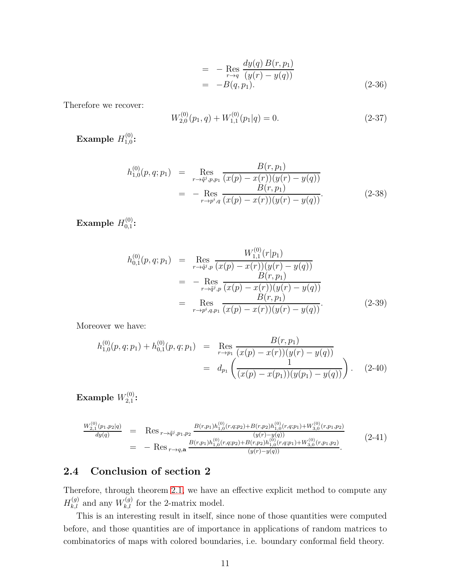$$
= - \underset{r \to q}{\text{Res}} \frac{dy(q) B(r, p_1)}{(y(r) - y(q))}
$$
  
= -B(q, p\_1). (2-36)

Therefore we recover:

$$
W_{2,0}^{(0)}(p_1, q) + W_{1,1}^{(0)}(p_1|q) = 0.
$$
\n(2-37)

Example  $H_{1,0}^{(0)}$  $_{1,0}^{\cdot (0)}$ :

$$
h_{1,0}^{(0)}(p,q;p_1) = \operatorname{Res}_{r \to \bar{q}^j, p, p_1} \frac{B(r,p_1)}{(x(p) - x(r))(y(r) - y(q))}
$$
  
= - Res<sub>r \to p^i,q</sub>  $\frac{B(r,p_1)}{(x(p) - x(r))(y(r) - y(q))}$ . (2-38)

Example  $H_{0.1}^{(0)}$  $\overset{(U)}{0,1}$ :

$$
h_{0,1}^{(0)}(p,q;p_1) = \operatorname{Res}_{r \to \tilde{q}^j, p} \frac{W_{1,1}^{(0)}(r|p_1)}{(x(p) - x(r))(y(r) - y(q))}
$$
  
\n
$$
= - \operatorname{Res}_{r \to \tilde{q}^j, p} \frac{B(r,p_1)}{(x(p) - x(r))(y(r) - y(q))}
$$
  
\n
$$
= \operatorname{Res}_{r \to p^i, q, p_1} \frac{B(r,p_1)}{(x(p) - x(r))(y(r) - y(q))}.
$$
 (2-39)

Moreover we have:

$$
h_{1,0}^{(0)}(p,q;p_1) + h_{0,1}^{(0)}(p,q;p_1) = \text{Res}_{r \to p_1} \frac{B(r,p_1)}{(x(p) - x(r))(y(r) - y(q))}
$$
  
=  $d_{p_1} \left( \frac{1}{(x(p) - x(p_1))(y(p_1) - y(q))} \right).$  (2-40)

 $\mathop{\textrm{Example}}$   $W_{2,1}^{(0)}$  $2,1$  :

$$
\frac{W_{2,1}^{(0)}(p_1,p_2|q)}{dy(q)} = \text{Res}_{r \to \tilde{q}^j, p_1, p_2} \frac{B(r,p_1)h_{1,0}^{(0)}(r,q;p_2) + B(r,p_2)h_{1,0}^{(0)}(r,q;p_1) + W_{3,0}^{(0)}(r,p_1,p_2)}{(y(r)-y(q))}
$$
\n
$$
= - \text{Res}_{r \to q, \mathbf{a}} \frac{B(r,p_1)h_{1,0}^{(0)}(r,q;p_2) + B(r,p_2)h_{1,0}^{(0)}(r,q;p_1) + W_{3,0}^{(0)}(r,p_1,p_2)}{(y(r)-y(q))}.
$$
\n(2-41)

## 2.4 Conclusion of section 2

Therefore, through theorem [2.1,](#page-7-2) we have an effective explicit method to compute any  $H_{k,l}^{(g)}$  and any  $W_{k,l}^{(g)}$  for the 2-matrix model.

This is an interesting result in itself, since none of those quantities were computed before, and those quantities are of importance in applications of random matrices to combinatorics of maps with colored boundaries, i.e. boundary conformal field theory.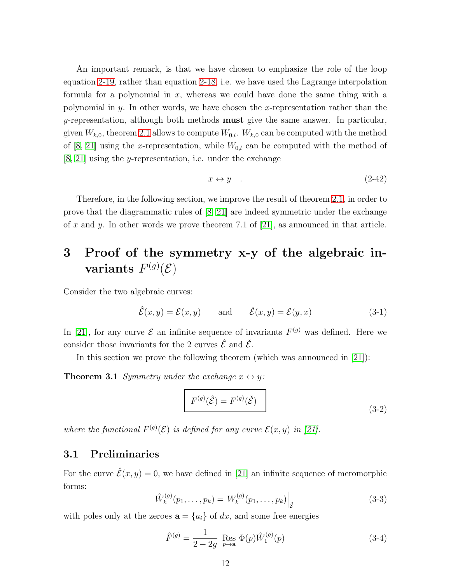An important remark, is that we have chosen to emphasize the role of the loop equation [2-19,](#page-6-1) rather than equation [2-18,](#page-5-0) i.e. we have used the Lagrange interpolation formula for a polynomial in x, whereas we could have done the same thing with a polynomial in y. In other words, we have chosen the x-representation rather than the  $y$ -representation, although both methods **must** give the same answer. In particular, given  $W_{k,0}$ , theorem [2.1](#page-7-2) allows to compute  $W_{0,l}$ .  $W_{k,0}$  can be computed with the method of [\[8,](#page-34-8) [21\]](#page-35-0) using the x-representation, while  $W_{0,l}$  can be computed with the method of  $[8, 21]$  $[8, 21]$  using the *y*-representation, i.e. under the exchange

$$
x \leftrightarrow y \quad . \tag{2-42}
$$

Therefore, in the following section, we improve the result of theorem [2.1,](#page-7-2) in order to prove that the diagrammatic rules of  $[8, 21]$  $[8, 21]$  are indeed symmetric under the exchange of x and y. In other words we prove theorem 7.1 of [\[21\]](#page-35-0), as announced in that article.

# 3 Proof of the symmetry x-y of the algebraic invariants  $F^{(g)}(\mathcal{E})$

Consider the two algebraic curves:

$$
\hat{\mathcal{E}}(x,y) = \mathcal{E}(x,y) \quad \text{and} \quad \check{\mathcal{E}}(x,y) = \mathcal{E}(y,x) \tag{3-1}
$$

In [\[21\]](#page-35-0), for any curve  $\mathcal E$  an infinite sequence of invariants  $F^{(g)}$  was defined. Here we consider those invariants for the 2 curves  $\hat{\mathcal{E}}$  and  $\check{\mathcal{E}}$ .

In this section we prove the following theorem (which was announced in [\[21\]](#page-35-0)):

**Theorem 3.1** *Symmetry under the exchange*  $x \leftrightarrow y$ *:* 

$$
F^{(g)}(\hat{\mathcal{E}}) = F^{(g)}(\check{\mathcal{E}})
$$
\n(3-2)

where the functional  $F^{(g)}(\mathcal{E})$  is defined for any curve  $\mathcal{E}(x, y)$  in [\[21\]](#page-35-0).

### 3.1 Preliminaries

For the curve  $\hat{\mathcal{E}}(x, y) = 0$ , we have defined in [\[21\]](#page-35-0) an infinite sequence of meromorphic forms:

$$
\hat{W}_k^{(g)}(p_1,\ldots,p_k) = W_k^{(g)}(p_1,\ldots,p_k)\Big|_{\hat{\mathcal{E}}}
$$
\n(3-3)

with poles only at the zeroes  $\mathbf{a} = \{a_i\}$  of dx, and some free energies

$$
\hat{F}^{(g)} = \frac{1}{2 - 2g} \text{ Res}_{p \to \mathbf{a}} \Phi(p) \hat{W}_1^{(g)}(p) \tag{3-4}
$$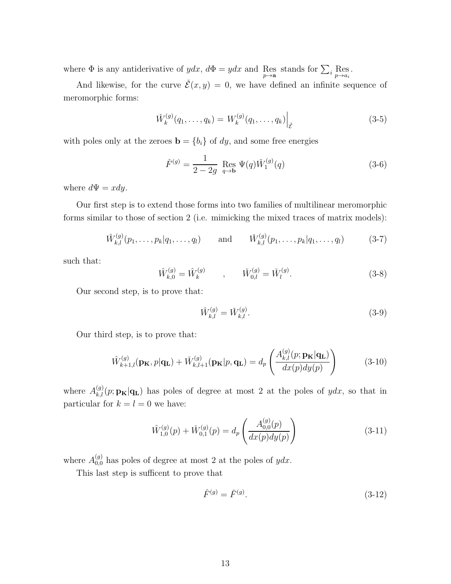where  $\Phi$  is any antiderivative of  $ydx$ ,  $d\Phi = ydx$  and Res stands for  $\sum_i \text{Res}_{p \to a_i}$ .

And likewise, for the curve  $\check{\mathcal{E}}(x, y) = 0$ , we have defined an infinite sequence of meromorphic forms:

$$
\tilde{W}_k^{(g)}(q_1,\ldots,q_k) = W_k^{(g)}(q_1,\ldots,q_k) \Big|_{\tilde{\mathcal{E}}} \tag{3-5}
$$

with poles only at the zeroes  $\mathbf{b} = \{b_i\}$  of dy, and some free energies

$$
\check{F}^{(g)} = \frac{1}{2 - 2g} \operatorname{Res}_{q \to b} \Psi(q) \check{W}_1^{(g)}(q) \tag{3-6}
$$

where  $d\Psi = xdy$ .

Our first step is to extend those forms into two families of multilinear meromorphic forms similar to those of section 2 (i.e. mimicking the mixed traces of matrix models):

$$
\hat{W}_{k,l}^{(g)}(p_1,\ldots,p_k|q_1,\ldots,q_l) \quad \text{and} \quad \check{W}_{k,l}^{(g)}(p_1,\ldots,p_k|q_1,\ldots,q_l) \quad (3-7)
$$

such that:

$$
\hat{W}_{k,0}^{(g)} = \hat{W}_k^{(g)} \qquad , \qquad \check{W}_{0,l}^{(g)} = \check{W}_l^{(g)}.
$$
\n(3-8)

Our second step, is to prove that:

$$
\hat{W}_{k,l}^{(g)} = \check{W}_{k,l}^{(g)}.\tag{3-9}
$$

Our third step, is to prove that:

$$
\hat{W}_{k+1,l}^{(g)}(\mathbf{p}_{\mathbf{K}},p|\mathbf{q}_{\mathbf{L}}) + \check{W}_{k,l+1}^{(g)}(\mathbf{p}_{\mathbf{K}}|p,\mathbf{q}_{\mathbf{L}}) = d_p \left( \frac{A_{k,l}^{(g)}(p;\mathbf{p}_{\mathbf{K}}|\mathbf{q}_{\mathbf{L}})}{dx(p)dy(p)} \right)
$$
(3-10)

where  $A_{k,l}^{(g)}(p;{\bf p_K}|{\bf q_L})$  has poles of degree at most 2 at the poles of  $ydx$ , so that in particular for  $k = l = 0$  we have:

$$
\hat{W}_{1,0}^{(g)}(p) + \check{W}_{0,1}^{(g)}(p) = d_p \left( \frac{A_{0,0}^{(g)}(p)}{dx(p)dy(p)} \right)
$$
\n(3-11)

where  $A_{0,0}^{(g)}$  has poles of degree at most 2 at the poles of  $ydx$ .

This last step is sufficent to prove that

$$
\hat{F}^{(g)} = \check{F}^{(g)}.\tag{3-12}
$$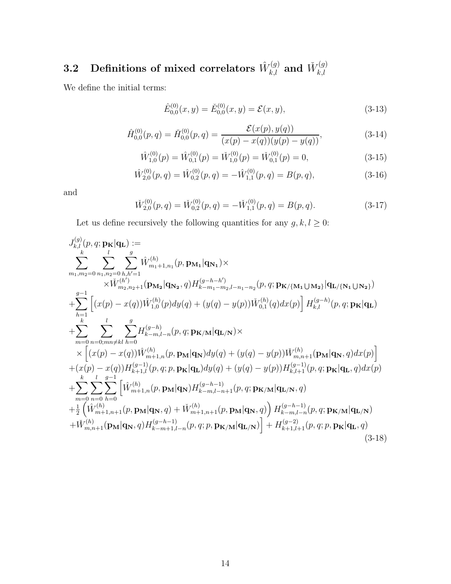#### $\textbf{3.2} \quad \textbf{Definitions of mixed correlators} \; \hat{W}^{(g)}_{k,l} \; \textbf{and} \; \check{W}^{(g)}_{k,l}$  $_{k,l}$

We define the initial terms:

$$
\hat{E}_{0,0}^{(0)}(x,y) = \check{E}_{0,0}^{(0)}(x,y) = \mathcal{E}(x,y),\tag{3-13}
$$

$$
\hat{H}_{0,0}^{(0)}(p,q) = \check{H}_{0,0}^{(0)}(p,q) = \frac{\mathcal{E}(x(p), y(q))}{(x(p) - x(q))(y(p) - y(q))},\tag{3-14}
$$

$$
\hat{W}_{1,0}^{(0)}(p) = \hat{W}_{0,1}^{(0)}(p) = \check{W}_{1,0}^{(0)}(p) = \check{W}_{0,1}^{(0)}(p) = 0,
$$
\n(3-15)

$$
\hat{W}_{2,0}^{(0)}(p,q) = \hat{W}_{0,2}^{(0)}(p,q) = -\hat{W}_{1,1}^{(0)}(p,q) = B(p,q),\tag{3-16}
$$

and

$$
\check{W}_{2,0}^{(0)}(p,q) = \check{W}_{0,2}^{(0)}(p,q) = -\check{W}_{1,1}^{(0)}(p,q) = B(p,q). \tag{3-17}
$$

Let us define recursively the following quantities for any  $g,k,l\geq 0:$ 

$$
J_{k,l}^{(g)}(p,q; \mathbf{p}_{\mathbf{K}}|\mathbf{q}_{\mathbf{L}}) :=\n\sum_{k}^{k} \sum_{l=0}^{l} \sum_{n_{1},n_{2}=0}^{g} \hat{W}_{m_{1}+1,n_{1}}^{(h)}(p, \mathbf{p}_{\mathbf{M}_{1}}|\mathbf{q}_{\mathbf{N}_{1}}) \times
$$
\n
$$
\times \tilde{W}_{m_{2},n_{2}+1}^{(h')}(\mathbf{p}_{\mathbf{M}_{2}}|\mathbf{q}_{\mathbf{N}_{2}}, q) H_{k-m_{1}-m_{2},l-n_{1}-n_{2}}^{(g,p,q; \mathbf{p}_{\mathbf{K}}/\{\mathbf{M}_{1}\cup\mathbf{M}_{2}\}}|\mathbf{q}_{\mathbf{L}}/\{\mathbf{N}_{1}\cup\mathbf{N}_{2}\})
$$
\n
$$
+ \sum_{k=1}^{g-1} \left[ (x(p) - x(q))\hat{W}_{1,0}^{(h)}(p)dy(q) + (y(q) - y(p))\tilde{W}_{0,1}^{(h)}(q)dx(p) \right] H_{k,l}^{(g-h)}(p,q; \mathbf{p}_{\mathbf{K}}|\mathbf{q}_{\mathbf{L}})
$$
\n
$$
+ \sum_{m=0}^{l} \sum_{n=0, m \neq kl}^{l} \sum_{h=0}^{g} H_{k-m,l-n}^{(g-h)}(p,q; \mathbf{p}_{\mathbf{K}}/\mathbf{M}|\mathbf{q}_{\mathbf{L}/\mathbf{N}}) \times
$$
\n
$$
\times \left[ (x(p) - x(q))\hat{W}_{m+1,n}^{(h)}(p, \mathbf{p}_{\mathbf{M}}|\mathbf{q}_{\mathbf{N}})dy(q) + (y(q) - y(p))\tilde{W}_{m,n+1}^{(h)}(\mathbf{p}_{\mathbf{M}}|\mathbf{q}_{\mathbf{N}}, q)dx(p) \right]
$$
\n
$$
+ (x(p) - x(q))H_{k+1,l}^{(g-1)}(p,q; \mathbf{p}_{\mathbf{K}}|\mathbf{q}_{\mathbf{L}})dy(q) + (y(q) - y(p))H_{k,l+1}^{(g-1)}(p,q; \mathbf{p}_{\mathbf{K}}|\mathbf{q}_{\mathbf{L}}, q)dx(p)
$$
\n
$$
+ \sum_{m=
$$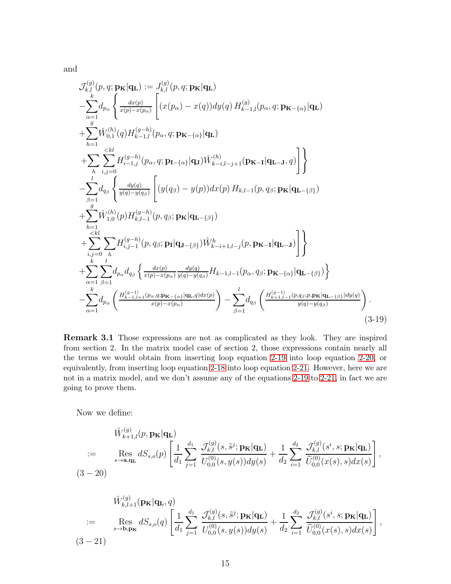$$
\mathcal{J}_{k,l}^{(g)}(p,q; \mathbf{p}_{\mathbf{K}}|\mathbf{q}_{\mathbf{L}}) := J_{k,l}^{(g)}(p,q; \mathbf{p}_{\mathbf{K}}|\mathbf{q}_{\mathbf{L}}) \n- \sum_{\alpha=1}^{k} d_{p_{\alpha}} \left\{ \frac{dx(p)}{x(p)-x(p_{\alpha})} \left[ (x(p_{\alpha}) - x(q))dy(q) H_{k-1,l}^{(g)}(p_{\alpha}, q; \mathbf{p}_{\mathbf{K} - {\alpha}}|\mathbf{q}_{\mathbf{L}}) \right. \\ \n+ \sum_{h=1}^{g} \widetilde{W}_{0,1}^{(h)}(q) H_{k-1,l}^{(g-h)}(p_{\alpha}, q; \mathbf{p}_{\mathbf{K} - {\alpha}}|\mathbf{q}_{\mathbf{L}}) \n+ \sum_{h} \sum_{i,j=0}^{
$$

Remark 3.1 Those expressions are not as complicated as they look. They are inspired from section 2. In the matrix model case of section 2, those expressions contain nearly all the terms we would obtain from inserting loop equation [2-19](#page-6-1) into loop equation [2-20,](#page-6-2) or equivalently, from inserting loop equation [2-18](#page-5-0) into loop equation [2-21.](#page-6-0) However, here we are not in a matrix model, and we don't assume any of the equations [2-19](#page-6-1) to [2-21,](#page-6-0) in fact we are going to prove them.

Now we define:

<span id="page-14-0"></span>
$$
\hat{W}_{k+1,l}^{(g)}(p, \mathbf{p}_{\mathbf{K}}|\mathbf{q}_{\mathbf{L}})
$$
\n
$$
:= \operatorname{Res}_{s\to\mathbf{a},\mathbf{q}_{\mathbf{L}}} dS_{s,o}(p) \left[ \frac{1}{d_1} \sum_{j=1}^{d_1} \frac{\mathcal{J}_{k,l}^{(g)}(s,\tilde{s}^j; \mathbf{p}_{\mathbf{K}}|\mathbf{q}_{\mathbf{L}})}{U_{0,0}^{(0)}(s,y(s))dy(s)} + \frac{1}{d_2} \sum_{i=1}^{d_2} \frac{\mathcal{J}_{k,l}^{(g)}(s^i,s; \mathbf{p}_{\mathbf{K}}|\mathbf{q}_{\mathbf{L}})}{\tilde{U}_{0,0}^{(0)}(x(s),s)dx(s)} \right],
$$
\n(3-20)

$$
\hat{W}_{k,l+1}^{(g)}(\mathbf{p}_{\mathbf{K}}|\mathbf{q}_{\mathbf{L}},q) = \operatorname{Res}_{s\to\mathbf{b},\mathbf{p}_{\mathbf{K}}} dS_{s,o}(q) \left[ \frac{1}{d_1} \sum_{j=1}^{d_1} \frac{\mathcal{J}_{k,l}^{(g)}(s,\tilde{s}^j; \mathbf{p}_{\mathbf{K}}|\mathbf{q}_{\mathbf{L}})}{U_{0,0}^{(0)}(s,y(s))dy(s)} + \frac{1}{d_2} \sum_{i=1}^{d_2} \frac{\mathcal{J}_{k,l}^{(g)}(s^i,s; \mathbf{p}_{\mathbf{K}}|\mathbf{q}_{\mathbf{L}})}{\tilde{U}_{0,0}^{(0)}(x(s),s)dx(s)} \right],
$$
\n(3-21)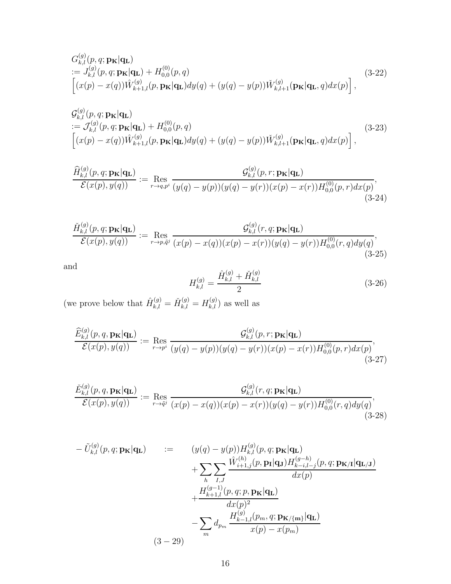$$
G_{k,l}^{(g)}(p,q; \mathbf{p}_{\mathbf{K}}|\mathbf{q}_{\mathbf{L}})
$$
  
:=  $J_{k,l}^{(g)}(p,q; \mathbf{p}_{\mathbf{K}}|\mathbf{q}_{\mathbf{L}}) + H_{0,0}^{(0)}(p,q)$   

$$
\left[ (x(p) - x(q))\hat{W}_{k+1,l}^{(g)}(p, \mathbf{p}_{\mathbf{K}}|\mathbf{q}_{\mathbf{L}})dy(q) + (y(q) - y(p))\check{W}_{k,l+1}^{(g)}(\mathbf{p}_{\mathbf{K}}|\mathbf{q}_{\mathbf{L}}, q)dx(p) \right],
$$
(3-22)

$$
G_{k,l}^{(g)}(p,q; \mathbf{p}_{\mathbf{K}}|\mathbf{q}_{\mathbf{L}})
$$
  
:=  $\mathcal{J}_{k,l}^{(g)}(p,q; \mathbf{p}_{\mathbf{K}}|\mathbf{q}_{\mathbf{L}}) + H_{0,0}^{(0)}(p,q)$   

$$
\left[ (x(p) - x(q))\hat{W}_{k+1,l}^{(g)}(p, \mathbf{p}_{\mathbf{K}}|\mathbf{q}_{\mathbf{L}})dy(q) + (y(q) - y(p))\check{W}_{k,l+1}^{(g)}(\mathbf{p}_{\mathbf{K}}|\mathbf{q}_{\mathbf{L}}, q)dx(p) \right],
$$
 (3-23)

$$
\frac{\widehat{H}_{k,l}^{(g)}(p,q;\mathbf{p}_{\mathbf{K}}|\mathbf{q}_{\mathbf{L}})}{\mathcal{E}(x(p),y(q))} := \operatorname{Res}_{r \to q,p^i} \frac{\mathcal{G}_{k,l}^{(g)}(p,r;\mathbf{p}_{\mathbf{K}}|\mathbf{q}_{\mathbf{L}})}{(y(q)-y(p))(y(q)-y(r))(x(p)-x(r))H_{0,0}^{(0)}(p,r)dx(p)},\tag{3-24}
$$

$$
\frac{\check{H}_{k,l}^{(g)}(p,q;\mathbf{p}_{\mathbf{K}}|\mathbf{q}_{\mathbf{L}})}{\mathcal{E}(x(p),y(q))} := \operatorname{Res}_{r \to p,\tilde{q}^j} \frac{\mathcal{G}_{k,l}^{(g)}(r,q;\mathbf{p}_{\mathbf{K}}|\mathbf{q}_{\mathbf{L}})}{(x(p)-x(q))(x(p)-x(r))(y(q)-y(r))H_{0,0}^{(0)}(r,q)dy(q)},\tag{3-25}
$$

$$
H_{k,l}^{(g)} = \frac{\hat{H}_{k,l}^{(g)} + \check{H}_{k,l}^{(g)}}{2} \tag{3-26}
$$

(we prove below that  $\hat{H}_{k,l}^{(g)} = \check{H}_{k,l}^{(g)} = H_{k,l}^{(g)}$ ) as well as

<span id="page-15-1"></span>
$$
\frac{\widehat{E}_{k,l}^{(g)}(p,q,\mathbf{p}_{\mathbf{K}}|\mathbf{q}_{\mathbf{L}})}{\mathcal{E}(x(p),y(q))} := \operatorname{Res}_{r \to p^i} \frac{\mathcal{G}_{k,l}^{(g)}(p,r;\mathbf{p}_{\mathbf{K}}|\mathbf{q}_{\mathbf{L}})}{(y(q)-y(p))(y(q)-y(r))(x(p)-x(r))H_{0,0}^{(0)}(p,r)dx(p)},\tag{3-27}
$$

<span id="page-15-2"></span>
$$
\frac{\check{E}_{k,l}^{(g)}(p,q,\mathbf{p}_{\mathbf{K}}|\mathbf{q}_{\mathbf{L}})}{\mathcal{E}(x(p),y(q))} := \operatorname{Res}_{r \to \tilde{q}^j} \frac{\mathcal{G}_{k,l}^{(g)}(r,q;\mathbf{p}_{\mathbf{K}}|\mathbf{q}_{\mathbf{L}})}{(x(p)-x(q))(x(p)-x(r))(y(q)-y(r))H_{0,0}^{(0)}(r,q)dy(q)},\tag{3-28}
$$

<span id="page-15-0"></span>
$$
- \tilde{U}_{k,l}^{(g)}(p,q; \mathbf{p}_{\mathbf{K}}|\mathbf{q}_{\mathbf{L}}) := (y(q) - y(p))H_{k,l}^{(g)}(p,q; \mathbf{p}_{\mathbf{K}}|\mathbf{q}_{\mathbf{L}}) + \sum_{h} \sum_{I,J} \frac{\hat{W}_{i+1,j}^{(h)}(p,\mathbf{p}_{\mathbf{I}}|\mathbf{q}_{\mathbf{J}})H_{k-i,l-j}^{(g-h)}(p,q;\mathbf{p}_{\mathbf{K}/\mathbf{I}}|\mathbf{q}_{\mathbf{L}/\mathbf{J}})}{dx(p)} + \frac{H_{k+1,l}^{(g-1)}(p,q;p,\mathbf{p}_{\mathbf{K}}|\mathbf{q}_{\mathbf{L}})}{dx(p)^2} - \sum_{m} d_{p_m} \frac{H_{k-1,l}^{(g)}(p_m,q;\mathbf{p}_{\mathbf{K}/\{\mathbf{m}\}}|\mathbf{q}_{\mathbf{L}})}{x(p) - x(p_m)}
$$
(3-29)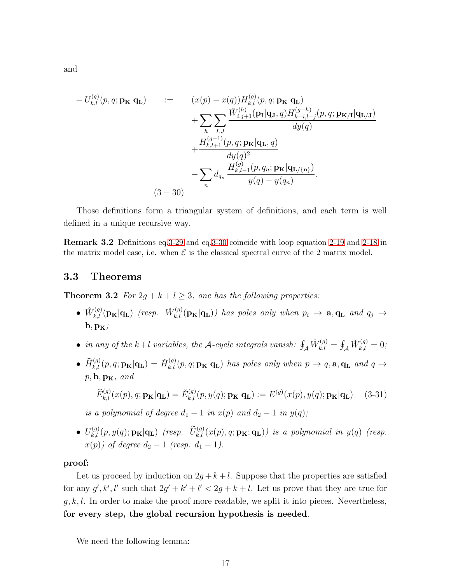<span id="page-16-0"></span>
$$
- U_{k,l}^{(g)}(p,q; \mathbf{p}_{\mathbf{K}}|\mathbf{q}_{\mathbf{L}}) := (x(p) - x(q))H_{k,l}^{(g)}(p,q; \mathbf{p}_{\mathbf{K}}|\mathbf{q}_{\mathbf{L}}) + \sum_{h} \sum_{I,J} \frac{\tilde{W}_{i,j+1}^{(h)}(\mathbf{p}_{I}|\mathbf{q}_{J},q)H_{k-i,l-j}^{(g-h)}(p,q; \mathbf{p}_{\mathbf{K}}|\mathbf{q}_{\mathbf{L}})}{dy(q)} + \frac{H_{k,l+1}^{(g-1)}(p,q; \mathbf{p}_{\mathbf{K}}|\mathbf{q}_{\mathbf{L}},q)}{dy(q)^2} - \sum_{n} d_{q_n} \frac{H_{k,l-1}^{(g)}(p,q_n; \mathbf{p}_{\mathbf{K}}|\mathbf{q}_{\mathbf{L}/\{\mathbf{n}\}})}{y(q) - y(q_n)}.
$$
\n(3-30)

Those definitions form a triangular system of definitions, and each term is well defined in a unique recursive way.

Remark 3.2 Definitions eq[.3-29](#page-15-0) and eq[.3-30](#page-16-0) coincide with loop equation [2-19](#page-6-1) and [2-18](#page-5-0) in the matrix model case, i.e. when  $\mathcal E$  is the classical spectral curve of the 2 matrix model.

### <span id="page-16-1"></span>3.3 Theorems

**Theorem 3.2** *For*  $2g + k + l \geq 3$ *, one has the following properties:* 

- $\hat{W}_{k,l}^{(g)}(\mathbf{p}_{\mathbf{K}}|\mathbf{q}_{\mathbf{L}})$  *(resp.*  $\check{W}_{k,l}^{(g)}(\mathbf{p}_{\mathbf{K}}|\mathbf{q}_{\mathbf{L}})$ *)* has poles only when  $p_i \to \mathbf{a}, \mathbf{q}_{\mathbf{L}}$  and  $q_j \to$  $\mathbf{b}, \mathbf{p}_{\mathbf{K}}$
- *in any of the*  $k+l$  *variables, the* A-cycle integrals vanish:  $\oint_{\mathcal{A}} \hat{W}_{k,l}^{(g)} = \oint_{\mathcal{A}} \check{W}_{k,l}^{(g)} = 0$ ;
- $\widehat{H}_{k,l}^{(g)}(p,q;{\bf p_K}|{\bf q_L}) = \check{H}_{k,l}^{(g)}(p,q;{\bf p_K}|{\bf q_L})$  has poles only when  $p \to q$ ,  ${\bf a}, {\bf q_L}$  and  $q \to$  $p, \mathbf{b}, \mathbf{p_K}, \text{ and}$

$$
\widehat{E}_{k,l}^{(g)}(x(p), q; \mathbf{p}_{\mathbf{K}}|\mathbf{q}_{\mathbf{L}}) = \check{E}_{k,l}^{(g)}(p, y(q); \mathbf{p}_{\mathbf{K}}|\mathbf{q}_{\mathbf{L}}) := E^{(g)}(x(p), y(q); \mathbf{p}_{\mathbf{K}}|\mathbf{q}_{\mathbf{L}}) \tag{3-31}
$$

*is a polynomial of degree*  $d_1 - 1$  *in*  $x(p)$  *and*  $d_2 - 1$  *in*  $y(q)$ *;* 

 $\bullet$   $U_{k,l}^{(g)}(p,y(q); \mathbf{p}_{\mathbf{K}}|\mathbf{q}_{\mathbf{L}})$  *(resp.*  $\widetilde{U}_{k,l}^{(g)}(x(p), q; \mathbf{p}_{\mathbf{K}}; \mathbf{q}_{\mathbf{L}}))$  is a polynomial in  $y(q)$  *(resp.*  $x(p)$ *) of degree*  $d_2 - 1$  *(resp.*  $d_1 - 1$ *).* 

#### proof:

Let us proceed by induction on  $2g + k + l$ . Suppose that the properties are satisfied for any  $g', k', l'$  such that  $2g' + k' + l' < 2g + k + l$ . Let us prove that they are true for  $g, k, l$ . In order to make the proof more readable, we split it into pieces. Nevertheless, for every step, the global recursion hypothesis is needed.

<span id="page-16-2"></span>We need the following lemma: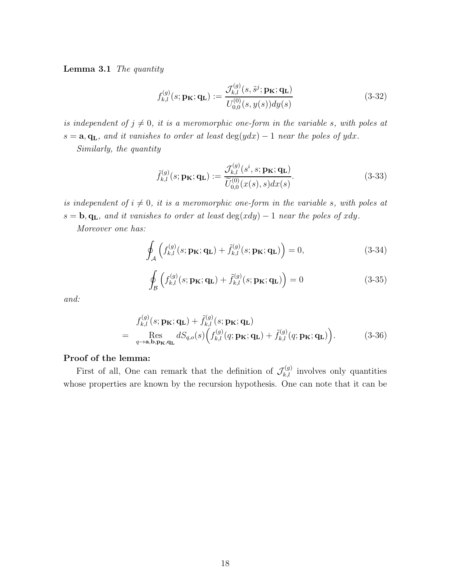Lemma 3.1 *The quantity*

$$
f_{k,l}^{(g)}(s; \mathbf{p}_{\mathbf{K}}; \mathbf{q}_{\mathbf{L}}) := \frac{\mathcal{J}_{k,l}^{(g)}(s, \tilde{s}^j; \mathbf{p}_{\mathbf{K}}; \mathbf{q}_{\mathbf{L}})}{U_{0,0}^{(0)}(s, y(s))dy(s)}
$$
(3-32)

*is independent of*  $j \neq 0$ *, it is a meromorphic one-form in the variable s, with poles at*  $s = a, q<sub>L</sub>$ *, and it vanishes to order at least* deg(ydx) – 1 *near the poles of ydx*. *Similarly, the quantity*

$$
\tilde{f}_{k,l}^{(g)}(s; \mathbf{p}_{\mathbf{K}}; \mathbf{q}_{\mathbf{L}}) := \frac{\mathcal{J}_{k,l}^{(g)}(s^i, s; \mathbf{p}_{\mathbf{K}}; \mathbf{q}_{\mathbf{L}})}{\widetilde{U}_{0,0}^{(0)}(x(s), s)dx(s)}.
$$
\n(3-33)

*is independent of*  $i \neq 0$ *, it is a meromorphic one-form in the variable s, with poles at*  $s = \mathbf{b}, \mathbf{q}_\mathbf{L}$ *, and it vanishes to order at least* deg(xdy) – 1 *near the poles of xdy*.

*Moreover one has:*

$$
\oint_{\mathcal{A}} \left( f_{k,l}^{(g)}(s; \mathbf{p}_{\mathbf{K}}; \mathbf{q}_{\mathbf{L}}) + \tilde{f}_{k,l}^{(g)}(s; \mathbf{p}_{\mathbf{K}}; \mathbf{q}_{\mathbf{L}}) \right) = 0, \tag{3-34}
$$

$$
\oint_{\mathcal{B}} \left( f_{k,l}^{(g)}(s; \mathbf{p}_{\mathbf{K}}; \mathbf{q}_{\mathbf{L}}) + \tilde{f}_{k,l}^{(g)}(s; \mathbf{p}_{\mathbf{K}}; \mathbf{q}_{\mathbf{L}}) \right) = 0 \tag{3-35}
$$

*and:*

<span id="page-17-0"></span>
$$
f_{k,l}^{(g)}(s; \mathbf{p}_{\mathbf{K}}; \mathbf{q}_{\mathbf{L}}) + \tilde{f}_{k,l}^{(g)}(s; \mathbf{p}_{\mathbf{K}}; \mathbf{q}_{\mathbf{L}})
$$
  
= Res<sub>q\to\mathbf{a},\mathbf{b},\mathbf{p}\_{\mathbf{K}},\mathbf{q}\_{\mathbf{L}}} dS\_{q,o}(s) \Big( f\_{k,l}^{(g)}(q; \mathbf{p}\_{\mathbf{K}}; \mathbf{q}\_{\mathbf{L}}) + \tilde{f}\_{k,l}^{(g)}(q; \mathbf{p}\_{\mathbf{K}}; \mathbf{q}\_{\mathbf{L}}) \Big). \tag{3-36}</sub>

#### Proof of the lemma:

First of all, One can remark that the definition of  $\mathcal{J}_{k,l}^{(g)}$  involves only quantities whose properties are known by the recursion hypothesis. One can note that it can be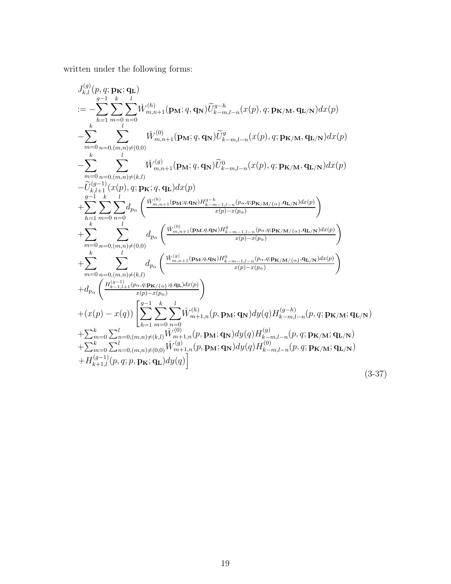written under the following forms:

<span id="page-18-0"></span>
$$
\begin{split} &J_{k,l}^{(g)}(p,q;\mathbf{p},\mathbf{q};\mathbf{p_{K}};\mathbf{q_{L}}) \\ &:= -\sum_{k}^{g-1}\sum_{h=1}^{k}\sum_{m=0}^{l}\tilde{W}_{m,n+1}^{(h)}(\mathbf{p_{M}};\boldsymbol{q},\mathbf{q_{N}})\tilde{U}_{k-m,l-n}^{g-h}(x(p),q;\mathbf{p_{K/M}},\mathbf{q_{L/N}})dx(p) \\ &-\sum_{m=0}^{k}\sum_{n=0,(m,n)\neq(0,0)}^{l}\tilde{W}_{m,n+1}^{(0)}(\mathbf{p_{M}};\boldsymbol{q},\mathbf{q_{N}})\tilde{U}_{k-m,l-n}^{g}(x(p),q;\mathbf{p_{K/M}},\mathbf{q_{L/N}})dx(p) \\ &-\sum_{m=0}^{k}\sum_{n=0,(m,n)\neq(k,l)}^{l}\tilde{W}_{m,n+1}^{(g)}(\mathbf{p_{M}};\boldsymbol{q},\mathbf{q_{N}})\tilde{U}_{k-m,l-n}^{0}(x(p),q;\mathbf{p_{K/M}},\mathbf{q_{L/N}})dx(p) \\ &-\tilde{U}_{k,l+1}^{(g-1)}(x(p),q;\mathbf{p_{K}};\boldsymbol{q},\mathbf{q_{L}})dx(p) \\ &+\sum_{h=1}^{g-1}\sum_{m=0}^{k}\sum_{n=0}^{l}\sum_{n=0}^{l}d_{p_{\alpha}}\left(\frac{\tilde{W}_{m,n+1}^{(h)}(\mathbf{p_{M}};\boldsymbol{q},\mathbf{q_{N}})H_{k-m-1,l-n}^{g}(\mathbf{p_{\alpha}};\mathbf{q};\mathbf{p_{K/M/(\alpha)}},\mathbf{q_{L/N}})dx(p)}{x(p)-x(p_{\alpha})}\right) \\ &+\sum_{m=0}^{k}\sum_{n=0, (m,n)\neq(0,0)}^{l}\sum_{n=0}^{l}\sum_{n=0, (m,n)\neq(k,l)}^{l}\sum_{n=0}^{l}\sum_{n=0, (m,n)\neq(k,l)}^{l}\sum_{n=0, n=1, (m,n)\neq(k,l)}^{l}\sum_{n=0, n=1, (m,n)\neq(k,l)}^{m}\sum_{n=0, n=1, (m,n)\neq(k,l)}^{m}\sum_{n=0, n=1, (m,n)\neq(k,l)}^{m}\sum_{n=0, n=0, (m
$$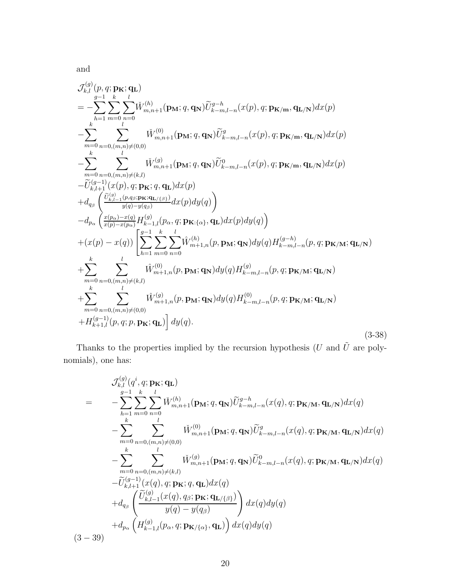<span id="page-19-0"></span>
$$
\mathcal{J}_{k,l}^{(g)}(p,q; \mathbf{p}_{\mathbf{K}}; \mathbf{q}_{\mathbf{L}})\n= -\sum_{h=1}^{g-1} \sum_{m=0}^{k} \sum_{n=0}^{l} \tilde{W}_{m,n+1}^{(h)}(\mathbf{p}_{\mathbf{M}}; q, \mathbf{q}_{\mathbf{N}}) \tilde{U}_{k-m,l-n}^{g-h}(x(p), q; \mathbf{p}_{\mathbf{K}/\mathbf{m}}, \mathbf{q}_{\mathbf{L}/\mathbf{N}}) dx(p)\n- \sum_{m=0}^{k} \sum_{n=0, (m,n) \neq (0,0)}^{l} \tilde{W}_{m,n+1}^{(0)}(\mathbf{p}_{\mathbf{M}}; q, \mathbf{q}_{\mathbf{N}}) \tilde{U}_{k-m,l-n}^{g}(x(p), q; \mathbf{p}_{\mathbf{K}/\mathbf{m}}, \mathbf{q}_{\mathbf{L}/\mathbf{N}}) dx(p)\n- \sum_{m=0}^{k} \sum_{n=0, (m,n) \neq (k,l)}^{l} \tilde{W}_{m,n+1}^{(g)}(\mathbf{p}_{\mathbf{M}}; q, \mathbf{q}_{\mathbf{N}}) \tilde{U}_{k-m,l-n}^{g}(x(p), q; \mathbf{p}_{\mathbf{K}/\mathbf{m}}, \mathbf{q}_{\mathbf{L}/\mathbf{N}}) dx(p)\n- \tilde{U}_{k,l+1}^{(g-1)}(x(p), q; \mathbf{p}_{\mathbf{K}}; q, \mathbf{q}_{\mathbf{L}}) dx(p)\n+ d_{q_{\beta}} \left( \frac{\tilde{v}_{k,l-1}^{(g)}(p, q, p_{\mathbf{K}}; q, \mathbf{q}_{\mathbf{L}}) dx(p) dy(q) \right)\n- d_{p_{\alpha}} \left( \frac{x(p_{\alpha}) - x(q)}{x(p) - x(p_{\alpha})} H_{k-1,l}^{(g)}(p_{\alpha}, q; \mathbf{p}_{\mathbf{K}:\{\alpha\}}, \mathbf{q}_{\mathbf{L}}) dx(p) dy(q) \right)\n+ (x(p) - x(q)) \left[ \sum_{h=1}^{g-1} \sum_{m=0}^{k} \sum_{n=0}^{l} \hat{W}_{m+1,n}^{(h)}(p, \mathbf{p}_{\mathbf{M}}; \math
$$

Thanks to the properties implied by the recursion hypothesis (U and  $\tilde{U}$  are polynomials), one has:

$$
\mathcal{J}_{k,l}^{(g)}(q^{i}, q; \mathbf{p}_{\mathbf{K}}; \mathbf{q}_{\mathbf{L}})
$$
\n
$$
= -\sum_{h=1}^{g-1} \sum_{m=0}^{k} \sum_{n=0}^{l} \breve{W}_{m,n+1}^{(h)}(\mathbf{p}_{\mathbf{M}}; q, \mathbf{q}_{\mathbf{N}}) \widetilde{U}_{k-m,l-n}^{g-h}(x(q), q; \mathbf{p}_{\mathbf{K}/\mathbf{M}}, \mathbf{q}_{\mathbf{L}/\mathbf{N}}) dx(q)
$$
\n
$$
- \sum_{m=0}^{k} \sum_{n=0, (m,n) \neq (0,0)}^{l} \breve{W}_{m,n+1}^{(0)}(\mathbf{p}_{\mathbf{M}}; q, \mathbf{q}_{\mathbf{N}}) \widetilde{U}_{k-m,l-n}^{g}(x(q), q; \mathbf{p}_{\mathbf{K}/\mathbf{M}}, \mathbf{q}_{\mathbf{L}/\mathbf{N}}) dx(q)
$$
\n
$$
- \sum_{m=0}^{k} \sum_{n=0, (m,n) \neq (k,l)}^{l} \breve{W}_{m,n+1}^{(g)}(\mathbf{p}_{\mathbf{M}}; q, \mathbf{q}_{\mathbf{N}}) \widetilde{U}_{k-m,l-n}^{0}(x(q), q; \mathbf{p}_{\mathbf{K}/\mathbf{M}}, \mathbf{q}_{\mathbf{L}/\mathbf{N}}) dx(q)
$$
\n
$$
- \widetilde{U}_{k,l+1}^{(g-1)}(x(q), q; \mathbf{p}_{\mathbf{K}}; q, \mathbf{q}_{\mathbf{L}}) dx(q)
$$
\n
$$
+ d_{q_{\beta}} \left( \frac{\widetilde{U}_{k,l-1}^{(g)}(x(q), q_{\beta}; \mathbf{p}_{\mathbf{K}}; \mathbf{q}_{\mathbf{L}/\{\beta\}})}{y(q) - y(q_{\beta})} \right) dx(q) dy(q)
$$
\n
$$
(3-39)
$$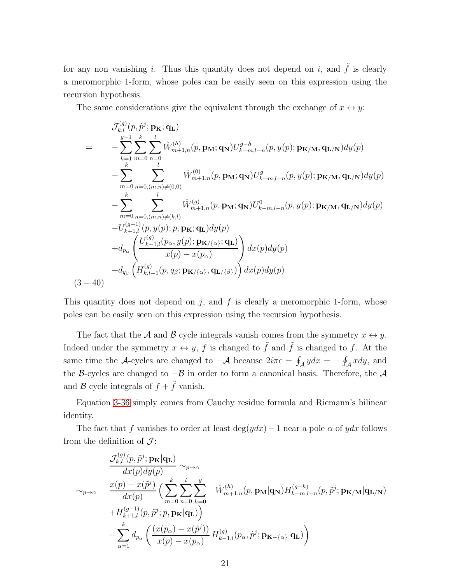for any non vanishing i. Thus this quantity does not depend on i, and  $\tilde{f}$  is clearly a meromorphic 1-form, whose poles can be easily seen on this expression using the recursion hypothesis.

The same considerations give the equivalent through the exchange of  $x \leftrightarrow y$ :

$$
\mathcal{J}_{k,l}^{(g)}(p,\tilde{p}^{j};\mathbf{p}_{\mathbf{K}};\mathbf{q}_{\mathbf{L}})
$$
\n
$$
= -\sum_{h=1}^{g-1} \sum_{m=0}^{k} \sum_{n=0}^{l} \hat{W}_{m+1,n}^{(h)}(p,\mathbf{p}_{\mathbf{M}};\mathbf{q}_{\mathbf{N}}) U_{k-m,l-n}^{g-h}(p,y(p);\mathbf{p}_{\mathbf{K}/\mathbf{M}},\mathbf{q}_{\mathbf{L}/\mathbf{N}}) dy(p)
$$
\n
$$
- \sum_{m=0}^{k} \sum_{n=0, (m,n) \neq (0,0)}^{l} \hat{W}_{m+1,n}^{(0)}(p,\mathbf{p}_{\mathbf{M}};\mathbf{q}_{\mathbf{N}}) U_{k-m,l-n}^{g}(p,y(p);\mathbf{p}_{\mathbf{K}/\mathbf{M}},\mathbf{q}_{\mathbf{L}/\mathbf{N}}) dy(p)
$$
\n
$$
- \sum_{m=0}^{k} \sum_{n=0, (m,n) \neq (k,l)}^{l} \hat{W}_{m+1,n}^{(g)}(p,\mathbf{p}_{\mathbf{M}};\mathbf{q}_{\mathbf{N}}) U_{k-m,l-n}^{0}(p,y(p);\mathbf{p}_{\mathbf{K}/\mathbf{M}},\mathbf{q}_{\mathbf{L}/\mathbf{N}}) dy(p)
$$
\n
$$
-U_{k+1,l}^{(g-1)}(p,y(p);\mathbf{p},\mathbf{p}_{\mathbf{K}};\mathbf{q}_{\mathbf{L}}) dy(p)
$$
\n
$$
+ d_{p_{\alpha}} \left( \frac{U_{k-1,l}^{(g)}(p_{\alpha},y(p);\mathbf{p}_{\mathbf{K}/\{\alpha\}};\mathbf{q}_{\mathbf{L}})}{x(p) - x(p_{\alpha})} \right) dx(p) dy(p)
$$
\n
$$
(3-40)
$$

This quantity does not depend on  $j$ , and  $f$  is clearly a meromorphic 1-form, whose poles can be easily seen on this expression using the recursion hypothesis.

The fact that the A and B cycle integrals vanish comes from the symmetry  $x \leftrightarrow y$ . Indeed under the symmetry  $x \leftrightarrow y$ , f is changed to f is changed to f. At the same time the A-cycles are changed to  $-\mathcal{A}$  because  $2i\pi\epsilon = \oint_{\mathcal{A}} ydx = -\oint_{\mathcal{A}} xdy$ , and the B-cycles are changed to  $-\mathcal{B}$  in order to form a canonical basis. Therefore, the A and  $\mathcal B$  cycle integrals of  $f + \tilde{f}$  vanish.

Equation [3-36](#page-17-0) simply comes from Cauchy residue formula and Riemann's bilinear identity.

The fact that f vanishes to order at least deg( $ydx$ ) – 1 near a pole  $\alpha$  of  $ydx$  follows from the definition of  $\mathcal{J}$ :

$$
\frac{\mathcal{J}_{k,l}^{(g)}(p,\tilde{p}^j;\mathbf{p}_{\mathbf{K}}|\mathbf{q}_{\mathbf{L}})}{dx(p)dy(p)} \sim_{p\to\alpha} \n\sim_{p\to\alpha} \frac{x(p) - x(\tilde{p}^j)}{dx(p)} \left( \sum_{m=0}^k \sum_{n=0}^l \sum_{h=0}^g \hat{W}_{m+1,n}^{(h)}(p,\mathbf{p}_{\mathbf{M}}|\mathbf{q}_{\mathbf{N}}) H_{k-m,l-n}^{(g-h)}(p,\tilde{p}^j;\mathbf{p}_{\mathbf{K/M}}|\mathbf{q}_{\mathbf{L/N}}) \right. \n+ H_{k+1,l}^{(g-1)}(p,\tilde{p}^j;p,\mathbf{p}_{\mathbf{K}}|\mathbf{q}_{\mathbf{L}}) \left. \right) \n- \sum_{\alpha=1}^k d_{p_\alpha} \left( \frac{(x(p_\alpha) - x(\tilde{p}^j))}{x(p) - x(p_\alpha)} H_{k-1,l}^{(g)}(p_\alpha,\tilde{p}^j;\mathbf{p}_{\mathbf{K}-\{\alpha\}}|\mathbf{q}_{\mathbf{L}}) \right)
$$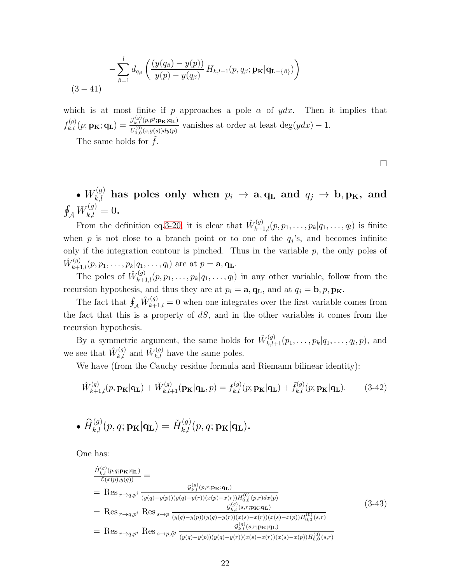$$
-\sum_{\beta=1}^{l} d_{q_{\beta}} \left( \frac{(y(q_{\beta}) - y(p))}{y(p) - y(q_{\beta})} H_{k,l-1}(p,q_{\beta};\mathbf{p}_{\mathbf{K}}|\mathbf{q}_{\mathbf{L}-{\{\beta\}}}) \right)
$$
  
(3-41)

which is at most finite if p approaches a pole  $\alpha$  of ydx. Then it implies that  $f_{k,l}^{(g)}(p;\mathbf{p}_{\mathbf{K}};\mathbf{q}_{\mathbf{L}})=\frac{\mathcal{J}_{k,l}^{(g)}(p,\tilde{p}^{j};\mathbf{p}_{\mathbf{K}};\mathbf{q}_{\mathbf{L}})}{H^{(0)}(s,u(s))du(n)}$  $\frac{U_{k,l}^{(0)}(y,p^{\prime}),P_{k,l}(L)}{U_{0,0}^{(0)}(s,y(s))dy(p)}$  vanishes at order at least deg(ydx) – 1.

The same holds for  $f$ .

 $\Box$ 

# $\bullet$   $W^{(g)}_{k,l}$  has poles only when  $p_i$   $\rightarrow$  a,  $\mathbf{q}_\mathbf{L}$  and  $q_j$   $\rightarrow$  b,  $\mathbf{p}_\mathbf{K},$  and  $\oint_{\mathcal{A}} W_{k,l}^{(g)} = 0.$

From the definition eq. 3-20, it is clear that  $\hat{W}_{k+1,l}^{(g)}(p, p_1, \ldots, p_k|q_1, \ldots, q_l)$  is finite when  $p$  is not close to a branch point or to one of the  $q_j$ 's, and becomes infinite only if the integration contour is pinched. Thus in the variable  $p$ , the only poles of  $\hat{W}_{k+1,l}^{(g)}(p, p_1, \ldots, p_k | q_1, \ldots, q_l)$  are at  $p = \mathbf{a}, \mathbf{q_L}$ .

The poles of  $\hat{W}_{k+1,l}^{(g)}(p, p_1, \ldots, p_k | q_1, \ldots, q_l)$  in any other variable, follow from the recursion hypothesis, and thus they are at  $p_i = \mathbf{a}, \mathbf{q}_L$ , and at  $q_j = \mathbf{b}, p, \mathbf{p}_K$ .

The fact that  $\oint_{\mathcal{A}} \hat{W}_{k+1,l}^{(g)} = 0$  when one integrates over the first variable comes from the fact that this is a property of  $dS$ , and in the other variables it comes from the recursion hypothesis.

By a symmetric argument, the same holds for  $\check{W}_{k,l+1}^{(g)}(p_1,\ldots,p_k|q_1,\ldots,q_l,p)$ , and we see that  $\hat{W}_{k,l}^{(g)}$  and  $\check{W}_{k,l}^{(g)}$  have the same poles.

We have (from the Cauchy residue formula and Riemann bilinear identity):

<span id="page-21-0"></span>
$$
\hat{W}_{k+1,l}^{(g)}(p,\mathbf{p}_{\mathbf{K}}|\mathbf{q}_{\mathbf{L}}) + \check{W}_{k,l+1}^{(g)}(\mathbf{p}_{\mathbf{K}}|\mathbf{q}_{\mathbf{L}},p) = f_{k,l}^{(g)}(p;\mathbf{p}_{\mathbf{K}}|\mathbf{q}_{\mathbf{L}}) + \tilde{f}_{k,l}^{(g)}(p;\mathbf{p}_{\mathbf{K}}|\mathbf{q}_{\mathbf{L}}).
$$
 (3-42)

• 
$$
\widehat{H}_{k,l}^{(g)}(p,q; \mathbf{p}_{\mathbf{K}}|\mathbf{q}_{\mathbf{L}}) = \check{H}_{k,l}^{(g)}(p,q; \mathbf{p}_{\mathbf{K}}|\mathbf{q}_{\mathbf{L}}).
$$

One has:

$$
\frac{\hat{H}_{k,l}^{(g)}(p,q;\mathbf{p}_{\mathbf{K}};\mathbf{q}_{\mathbf{L}})}{\mathcal{E}(x(p),y(q))} = \n= Res_{r \to q,p^{i}} \frac{\mathcal{G}_{k,l}^{(g)}(p,r;\mathbf{p}_{\mathbf{K}};\mathbf{q}_{\mathbf{L}})}{(y(q)-y(p))(y(q)-y(r))(x(p)-x(r))H_{0,0}^{(0)}(p,r)dx(p)} \n= Res_{r \to q,p^{i}} Res_{s \to p} \frac{\mathcal{G}_{k,l}^{(g)}(s,r;\mathbf{p}_{\mathbf{K}};\mathbf{q}_{\mathbf{L}})}{(y(q)-y(p))(y(q)-y(r))(x(s)-x(r))(x(s)-x(p))H_{0,0}^{(0)}(s,r)} \n= Res_{r \to q,p^{i}} Res_{s \to p,\tilde{q}^{j}} \frac{\mathcal{G}_{k,l}^{(g)}(s,r;\mathbf{p}_{\mathbf{K}};\mathbf{q}_{\mathbf{L}})}{\mathcal{G}_{k,l}^{(g)}(s,r;\mathbf{p}_{\mathbf{K}};\mathbf{q}_{\mathbf{L}})} \n= Res_{r \to q,p^{i}} Res_{s \to p,\tilde{q}^{j}} \frac{\mathcal{G}_{k,l}^{(g)}(s,r;\mathbf{p}_{\mathbf{K}};\mathbf{q}_{\mathbf{L}})}{\mathcal{G}_{k,l}^{(g)}(s,r;\mathbf{p}_{\mathbf{K}};\mathbf{q}_{\mathbf{L}})}
$$
\n(3-43)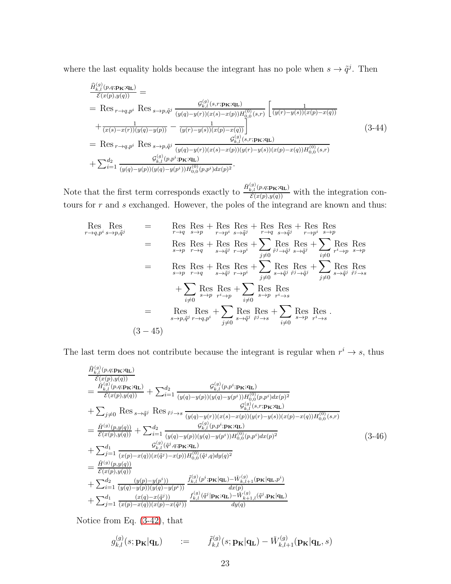where the last equality holds because the integrant has no pole when  $s \to \tilde{q}^j$ . Then

$$
\frac{\hat{H}_{k,l}^{(g)}(p,q;\mathbf{p}_{\mathbf{K}};\mathbf{q}_{\mathbf{L}})}{\mathcal{E}(x(p),y(q))} = \n= \text{Res}_{r \to q,p^{i}} \text{Res}_{s \to p,\tilde{q}^{j}} \frac{g_{k,l}^{(g)}(s,r;\mathbf{p}_{\mathbf{K}};\mathbf{q}_{\mathbf{L}})}{(y(q)-y(r))(x(s)-x(p))H_{0,0}^{(0)}(s,r)} \left[ \frac{1}{(y(r)-y(s))(x(p)-x(q))} + \frac{1}{(x(s)-x(r))(y(q)-y(p))} - \frac{1}{(y(r)-y(s))(x(p)-x(q))} \right] \n= \text{Res}_{r \to q,p^{i}} \text{Res}_{s \to p,\tilde{q}^{j}} \frac{g_{k,l}^{(g)}(s,r;\mathbf{p}_{\mathbf{K}};\mathbf{q}_{\mathbf{L}})}{(y(q)-y(r))(x(s)-x(p))(y(r)-y(s))(x(p)-x(q))H_{0,0}^{(0)}(s,r)} + \sum_{i=1}^{d_{2}} \frac{g_{k,l}^{(g)}(p,p^{i};\mathbf{p}_{\mathbf{K}};\mathbf{q}_{\mathbf{L}})}{(y(q)-y(p))(y(q)-y(p^{i}))H_{0,0}^{(0)}(p,p^{i})dx(p)^{2}}.
$$
\n
$$
(3-44)
$$

Note that the first term corresponds exactly to  $\frac{\check{H}_{k,l}^{(g)}(p,q;\mathbf{p}_{\mathbf{K}};\mathbf{q}_{\mathbf{L}})}{\mathcal{E}(x(p),y(q))}$  with the integration contours for  $r$  and  $s$  exchanged. However, the poles of the integrand are known and thus:

Res Res Res  
\n
$$
\underset{r \to q, p^i}{\text{Res}} \underset{s \to p, \tilde{q}^j}{\text{Res}} = \underset{r \to q}{\text{Res}} \underset{s \to p}{\text{Res}} \underset{r \to p^i}{\text{Res}} \underset{s \to \tilde{q}^j}{\text{Res}} + \underset{r \to p^i}{\text{Res}} \underset{s \to \tilde{q}^j}{\text{Res}} + \underset{r \to p^i}{\text{Res}} \underset{s \to \tilde{q}^j}{\text{Res}} + \underset{r \to p^i}{\text{Res}} \underset{s \to \tilde{q}^j}{\text{Res}} + \underset{r \to p^i}{\text{Res}} \underset{s \to \tilde{q}^j}{\text{Res}} + \underset{r \to p^i}{\text{Res}} \underset{s \to \tilde{q}^j}{\text{Res}} + \underset{r \to p^i}{\text{Res}} \underset{s \to \tilde{q}^j}{\text{Res}} + \underset{r \to p^i}{\text{Res}} \underset{s \to \tilde{q}^j}{\text{Res}} + \underset{r \to p^i}{\text{Res}} \underset{s \to \tilde{q}^j}{\text{Res}} \underset{r \to p^i}{\text{Res}} + \underset{j \neq 0}{\text{Res}} \underset{s \to \tilde{q}^j}{\text{Res}} + \underset{r \to p^i}{\text{Res}} \underset{s \to \tilde{q}^j}{\text{Res}} + \underset{r \to p^i}{\text{Res}} \underset{s \to \tilde{q}^j}{\text{Res}} \underset{r \to s}{\text{Res}} + \underset{j \neq 0}{\text{Res}} \underset{s \to p}{\text{Res}} \underset{r \to s}{\text{Res}} + \underset{j \neq 0}{\text{Res}} \underset{s \to p, \tilde{q}^j}{\text{Res}} + \underset{r \to p^i}{\text{Res}} \underset{j \neq 0}{\text{Res}} \underset{s \to \tilde{q}^j}{\text{Res}} + \underset{r \to s}{\text{Res}} \underset{j \neq 0}{\text{Res}} \underset{s \to p, \tilde{q}^j}{\text{Res}} + \underset{r \to q, p^i}{\text{Res}} \underset{j \neq 0}{\text{
$$

The last term does not contribute because the integrant is regular when  $r^i \rightarrow s$ , thus

$$
\frac{\hat{H}_{k,l}^{(g)}(p,q;\mathbf{p}\mathbf{x};\mathbf{q}\mathbf{L})}{\mathcal{E}(x(p),y(q))} = \frac{\check{H}_{k,l}^{(g)}(p,q;\mathbf{p}\mathbf{x};\mathbf{q}\mathbf{L})}{\mathcal{E}(x(p),y(q))} + \sum_{i=1}^{d_{2}} \frac{\mathcal{G}_{k,l}^{(g)}(p,p^{i};\mathbf{p}\mathbf{x};\mathbf{q}\mathbf{L})}{(y(q)-y(p))(y(q)-y(p^{i}))H_{0,0}^{(0)}(p,p^{i})dx(p)^{2}} \n+ \sum_{j\neq 0} \text{Res}_{s\to \tilde{q}^{j}} \text{Res}_{\tilde{r}^{j}\to s} \frac{\mathcal{G}_{k,l}^{(g)}(s,r;\mathbf{p}\mathbf{x};\mathbf{q}\mathbf{L})}{(y(q)-y(r))(x(s)-x(p))(y(r)-y(s))(x(p)-x(q))H_{0,0}^{(0)}(s,r)} \n= \frac{\check{H}^{(g)}(p,y(q))}{\mathcal{E}(x(p),y(q))} + \sum_{i=1}^{d_{2}} \frac{\mathcal{G}_{k,l}^{(g)}(p,p^{i};\mathbf{p}\mathbf{x};\mathbf{q}\mathbf{L})}{(y(q)-y(p))(y(q)-y(p^{i}))H_{0,0}^{(0)}(p,p^{i})dx(p)^{2}} \n+ \sum_{j=1}^{d_{1}} \frac{\mathcal{G}_{k,l}^{(g)}(\tilde{q}^{j},q;\mathbf{p}\mathbf{x};\mathbf{q}\mathbf{L})}{(x(p)-x(q))(x(\tilde{q}^{j})-x(p))H_{0,0}^{(0)}(\tilde{q}^{j},q)dy(q)^{2}} \n= \frac{\check{H}^{(g)}(p,y(q))}{\mathcal{E}(x(p),y(q))} \n+ \sum_{i=1}^{d_{2}} \frac{(y(p)-y(p^{i}))}{(y(q)-y(p^{i}))} \frac{\check{f}_{k,l}^{(g)}(p^{i};\mathbf{p}\mathbf{x}|\mathbf{q}\mathbf{L}) - \check{W}_{k,l+1}^{(g)}(\mathbf{p}\mathbf{x};\mathbf{p}\mathbf{x}|\mathbf{q}\mathbf{L})}{(x(p)} \n+ \sum_{j=1}^{d_{1}} \frac{(x(q)-x(\tilde{q
$$

Notice from Eq. [\(3-42\)](#page-21-0), that

$$
g_{k,l}^{(g)}(s; \mathbf{p}_{\mathbf{K}}|\mathbf{q}_{\mathbf{L}}) = \tilde{f}_{k,l}^{(g)}(s; \mathbf{p}_{\mathbf{K}}|\mathbf{q}_{\mathbf{L}}) - \tilde{W}_{k,l+1}^{(g)}(\mathbf{p}_{\mathbf{K}}|\mathbf{q}_{\mathbf{L}}, s)
$$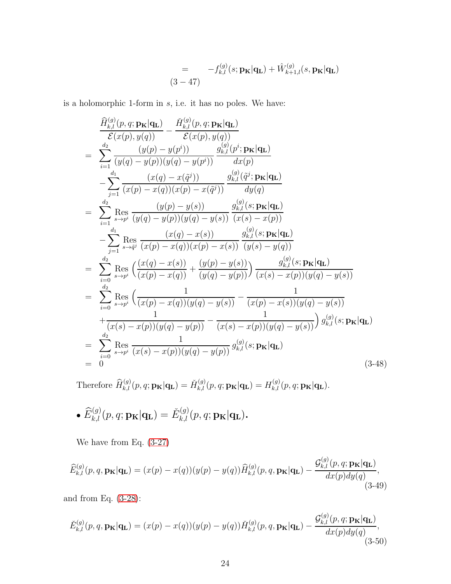$$
= -f_{k,l}^{(g)}(s; \mathbf{p}_{\mathbf{K}}|\mathbf{q}_{\mathbf{L}}) + \hat{W}_{k+1,l}^{(g)}(s, \mathbf{p}_{\mathbf{K}}|\mathbf{q}_{\mathbf{L}})
$$
  
(3-47)

is a holomorphic 1-form in  $s$ , i.e. it has no poles. We have:

$$
\frac{\widehat{H}_{k,l}^{(g)}(p,q; \mathbf{p}_{\mathbf{K}}|\mathbf{q}_{\mathbf{L}})}{\mathcal{E}(x(p), y(q))} - \frac{\widehat{H}_{k,l}^{(g)}(p,q; \mathbf{p}_{\mathbf{K}}|\mathbf{q}_{\mathbf{L}})}{\mathcal{E}(x(p), y(q))}
$$
\n
$$
= \sum_{i=1}^{d_2} \frac{(y(p) - y(p^i))}{(y(q) - y(p))(y(q) - y(p^i))} \frac{g_{k,l}^{(g)}(p^i; \mathbf{p}_{\mathbf{K}}|\mathbf{q}_{\mathbf{L}})}{dx(p)}
$$
\n
$$
- \sum_{j=1}^{d_1} \frac{(x(q) - x(\tilde{q}^j))}{(x(p) - x(q))(x(p) - x(\tilde{q}^j))} \frac{g_{k,l}^{(g)}(\tilde{q}^j; \mathbf{p}_{\mathbf{K}}|\mathbf{q}_{\mathbf{L}})}{dy(q)}
$$
\n
$$
= \sum_{i=1}^{d_2} \text{Res}_{s \to p^i} \frac{(y(p) - y(s))}{(y(q) - y(p))(y(q) - y(s))} \frac{g_{k,l}^{(g)}(s; \mathbf{p}_{\mathbf{K}}|\mathbf{q}_{\mathbf{L}})}{(x(s) - x(p))}
$$
\n
$$
- \sum_{j=1}^{d_1} \text{Res}_{s \to \tilde{q}^j} \frac{(x(q) - x(s))}{(x(p) - x(q))(x(p) - x(s))} \frac{g_{k,l}^{(g)}(s; \mathbf{p}_{\mathbf{K}}|\mathbf{q}_{\mathbf{L}})}{(y(s) - y(q))}
$$
\n
$$
= \sum_{i=0}^{d_2} \text{Res}_{s \to p^i} \left( \frac{x(q) - x(s))}{(x(p) - x(q))} + \frac{(y(p) - y(s))}{(y(q) - y(p))} \right) \frac{g_{k,l}^{(g)}(s; \mathbf{p}_{\mathbf{K}}|\mathbf{q}_{\mathbf{L}})}{(x(s) - x(p))(y(q) - y(s))}
$$
\n
$$
+ \frac{1}{(x(s) - x(p))(y(q) - y(p))} - \frac{1}{(x(s) - x(p))(y(q) - y(s))} \right) g_{k,l}^{(g)}(s; \mathbf{
$$

Therefore  $\widehat{H}_{k,l}^{(g)}(p,q;{\bf p}_{\mathbf{K}}|{\bf q}_{\mathbf{L}}) = \check{H}_{k,l}^{(g)}(p,q;{\bf p}_{\mathbf{K}}|{\bf q}_{\mathbf{L}}) = H_{k,l}^{(g)}(p,q;{\bf p}_{\mathbf{K}}|{\bf q}_{\mathbf{L}}).$ 

• 
$$
\widehat{E}_{k,l}^{(g)}(p,q; \mathbf{p}_{\mathbf{K}}|\mathbf{q}_{\mathbf{L}}) = \check{E}_{k,l}^{(g)}(p,q; \mathbf{p}_{\mathbf{K}}|\mathbf{q}_{\mathbf{L}}).
$$

We have from Eq. [\(3-27\)](#page-15-1)

<span id="page-23-0"></span>
$$
\widehat{E}_{k,l}^{(g)}(p,q,\mathbf{p}_{\mathbf{K}}|\mathbf{q}_{\mathbf{L}}) = (x(p) - x(q))(y(p) - y(q))\widehat{H}_{k,l}^{(g)}(p,q,\mathbf{p}_{\mathbf{K}}|\mathbf{q}_{\mathbf{L}}) - \frac{\mathcal{G}_{k,l}^{(g)}(p,q;\mathbf{p}_{\mathbf{K}}|\mathbf{q}_{\mathbf{L}})}{dx(p)dy(q)},
$$
\n(3-49)

and from Eq. [\(3-28\)](#page-15-2):

<span id="page-23-1"></span>
$$
\check{E}_{k,l}^{(g)}(p,q,\mathbf{p}_{\mathbf{K}}|\mathbf{q}_{\mathbf{L}}) = (x(p) - x(q))(y(p) - y(q))\check{H}_{k,l}^{(g)}(p,q,\mathbf{p}_{\mathbf{K}}|\mathbf{q}_{\mathbf{L}}) - \frac{\mathcal{G}_{k,l}^{(g)}(p,q;\mathbf{p}_{\mathbf{K}}|\mathbf{q}_{\mathbf{L}})}{dx(p)dy(q)},
$$
\n(3-50)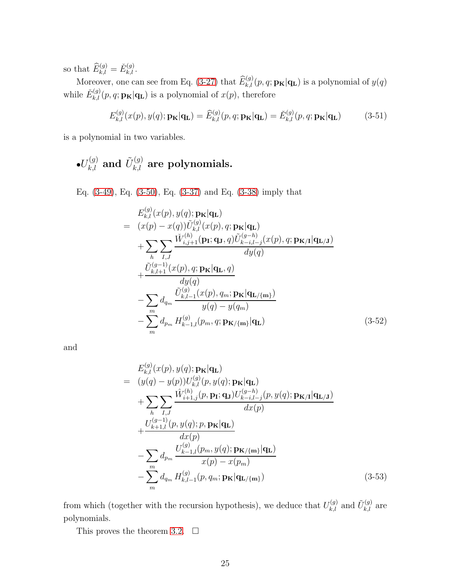so that  $\widehat{E}_{k,l}^{(g)} = \check{E}_{k,l}^{(g)}$ .

Moreover, one can see from Eq. [\(3-27\)](#page-15-1) that  $\widehat{E}_{k,l}^{(g)}(p,q;{\bf p_K}|{\bf q_L})$  is a polynomial of  $y(q)$ while  $\check{E}_{k,l}^{(g)}(p,q;{\bf p_K}|{\bf q_L})$  is a polynomial of  $x(p)$ , therefore

$$
E_{k,l}^{(g)}(x(p), y(q); \mathbf{p}_{\mathbf{K}}|\mathbf{q}_{\mathbf{L}}) = \widehat{E}_{k,l}^{(g)}(p, q; \mathbf{p}_{\mathbf{K}}|\mathbf{q}_{\mathbf{L}}) = \check{E}_{k,l}^{(g)}(p, q; \mathbf{p}_{\mathbf{K}}|\mathbf{q}_{\mathbf{L}})
$$
(3-51)

is a polynomial in two variables.

$$
\bullet U_{k,l}^{(g)}
$$
 and  $\tilde{U}_{k,l}^{(g)}$  are polynomials.

Eq. [\(3-49\)](#page-23-0), Eq. [\(3-50\)](#page-23-1), Eq. [\(3-37\)](#page-18-0) and Eq. [\(3-38\)](#page-19-0) imply that

<span id="page-24-1"></span>
$$
E_{k,l}^{(g)}(x(p), y(q); \mathbf{p}_{\mathbf{K}}|\mathbf{q}_{\mathbf{L}})
$$
\n
$$
= (x(p) - x(q))\tilde{U}_{k,l}^{(g)}(x(p), q; \mathbf{p}_{\mathbf{K}}|\mathbf{q}_{\mathbf{L}})
$$
\n
$$
+ \sum_{h} \sum_{I,J} \frac{\tilde{W}_{i,j+1}^{(h)}(\mathbf{p}_{\mathbf{I}}; \mathbf{q}_{J}, q)\tilde{U}_{k-i,l-j}^{(g-h)}(x(p), q; \mathbf{p}_{\mathbf{K}/\mathbf{I}}|\mathbf{q}_{\mathbf{L}/\mathbf{J}})}{dy(q)}
$$
\n
$$
+ \frac{\tilde{U}_{k,l+1}^{(g-1)}(x(p), q; \mathbf{p}_{\mathbf{K}}|\mathbf{q}_{\mathbf{L}}, q)}{dy(q)}
$$
\n
$$
- \sum_{m} d_{qm} \frac{\tilde{U}_{k,l-1}^{(g)}(x(p), q_m; \mathbf{p}_{\mathbf{K}}|\mathbf{q}_{\mathbf{L}/\{\mathbf{m}\}})}{y(q) - y(q_m)}
$$
\n
$$
- \sum_{m} d_{p_m} H_{k-1,l}^{(g)}(p_m, q; \mathbf{p}_{\mathbf{K}/\{\mathbf{m}\}}|\mathbf{q}_{\mathbf{L}})
$$
\n(3-52)

and

<span id="page-24-0"></span>
$$
E_{k,l}^{(g)}(x(p), y(q); \mathbf{p}_{\mathbf{K}}|\mathbf{q}_{\mathbf{L}})
$$
\n
$$
= (y(q) - y(p))U_{k,l}^{(g)}(p, y(q); \mathbf{p}_{\mathbf{K}}|\mathbf{q}_{\mathbf{L}})
$$
\n
$$
+ \sum_{h} \sum_{I,J} \frac{\hat{W}_{i+1,j}^{(h)}(p, \mathbf{p}_{\mathbf{I}}; \mathbf{q}_{\mathbf{J}})U_{k-i,l-j}^{(g-h)}(p, y(q); \mathbf{p}_{\mathbf{K}/\mathbf{I}}|\mathbf{q}_{\mathbf{L}/\mathbf{J}})}{dx(p)}
$$
\n
$$
+ \frac{U_{k+1,l}^{(g-1)}(p, y(q); p, \mathbf{p}_{\mathbf{K}}|\mathbf{q}_{\mathbf{L}})}{dx(p)}
$$
\n
$$
- \sum_{m} d_{p_m} \frac{U_{k-1,l}^{(g)}(p_m, y(q); \mathbf{p}_{\mathbf{K}/\{\mathbf{m}\}}|\mathbf{q}_{\mathbf{L}})}{x(p) - x(p_m)}
$$
\n
$$
- \sum_{m} d_{q_m} H_{k,l-1}^{(g)}(p, q_m; \mathbf{p}_{\mathbf{K}}|\mathbf{q}_{\mathbf{L}/\{\mathbf{m}\}})
$$
\n(3-53)

from which (together with the recursion hypothesis), we deduce that  $U_{k,l}^{(g)}$  and  $\tilde{U}_{k,l}^{(g)}$  are polynomials.

This proves the theorem [3.2.](#page-16-1)  $\Box$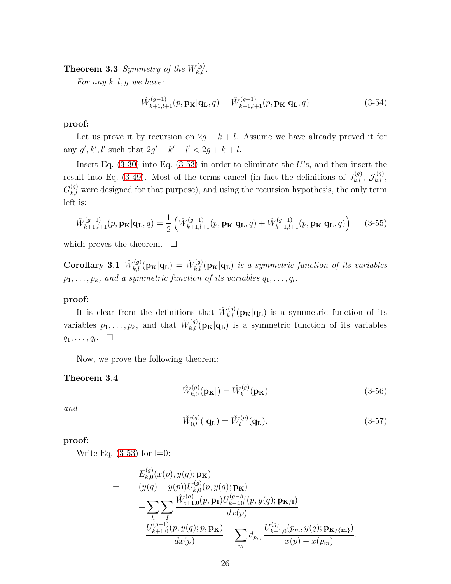**Theorem 3.3** *Symmetry of the*  $W_{k,l}^{(g)}$ .

*For any* k, l, g *we have:*

$$
\hat{W}_{k+1,l+1}^{(g-1)}(p,\mathbf{p}_{\mathbf{K}}|\mathbf{q}_{\mathbf{L}},q) = \check{W}_{k+1,l+1}^{(g-1)}(p,\mathbf{p}_{\mathbf{K}}|\mathbf{q}_{\mathbf{L}},q)
$$
\n(3-54)

#### proof:

Let us prove it by recursion on  $2g + k + l$ . Assume we have already proved it for any  $g', k', l'$  such that  $2g' + k' + l' < 2g + k + l$ .

Insert Eq.  $(3-30)$  into Eq.  $(3-53)$  in order to eliminate the U's, and then insert the result into Eq. [\(3-49\)](#page-23-0). Most of the terms cancel (in fact the definitions of  $J_{k,l}^{(g)}$ ,  $\mathcal{J}_{k,l}^{(g)}$ ,  $G_{k,l}^{(g)}$  were designed for that purpose), and using the recursion hypothesis, the only term left is:

$$
\tilde{W}_{k+1,l+1}^{(g-1)}(p,\mathbf{p}_{\mathbf{K}}|\mathbf{q}_{\mathbf{L}},q) = \frac{1}{2} \left( \tilde{W}_{k+1,l+1}^{(g-1)}(p,\mathbf{p}_{\mathbf{K}}|\mathbf{q}_{\mathbf{L}},q) + \hat{W}_{k+1,l+1}^{(g-1)}(p,\mathbf{p}_{\mathbf{K}}|\mathbf{q}_{\mathbf{L}},q) \right)
$$
(3-55)

<span id="page-25-0"></span>which proves the theorem.  $\square$ 

Corollary 3.1  $\hat{W}_{k,l}^{(g)}(\mathbf{p}_{\mathbf{K}}|\mathbf{q}_{\mathbf{L}}) = \check{W}_{k,l}^{(g)}(\mathbf{p}_{\mathbf{K}}|\mathbf{q}_{\mathbf{L}})$  is a symmetric function of its variables  $p_1, \ldots, p_k$ , and a symmetric function of its variables  $q_1, \ldots, q_l$ .

#### proof:

It is clear from the definitions that  $\check{W}_{k,l}^{(g)}(\mathbf{p}_{\mathbf{K}}|\mathbf{q}_{\mathbf{L}})$  is a symmetric function of its variables  $p_1, \ldots, p_k$ , and that  $\hat{W}_{k,l}^{(g)}(\mathbf{p}_{\mathbf{K}}|\mathbf{q}_{\mathbf{L}})$  is a symmetric function of its variables  $q_1, \ldots, q_l$ .  $\Box$ 

Now, we prove the following theorem:

#### Theorem 3.4

$$
\hat{W}_{k,0}^{(g)}(\mathbf{p}_{\mathbf{K}}|) = \hat{W}_k^{(g)}(\mathbf{p}_{\mathbf{K}})
$$
\n(3-56)

*and*

$$
\check{W}_{0,l}^{(g)}(|\mathbf{q_L}) = \check{W}_l^{(g)}(\mathbf{q_L}).
$$
\n(3-57)

proof:

Write Eq.  $(3-53)$  for l=0:

$$
= E_{k,0}^{(g)}(x(p), y(q); \mathbf{p}_{\mathbf{K}})
$$
  
= 
$$
(y(q) - y(p))U_{k,0}^{(g)}(p, y(q); \mathbf{p}_{\mathbf{K}})
$$
  
+ 
$$
\sum_{h} \sum_{I} \frac{\hat{W}_{i+1,0}^{(h)}(p, \mathbf{p}_{\mathbf{I}})U_{k-i,0}^{(g-h)}(p, y(q); \mathbf{p}_{\mathbf{K}/\mathbf{I}})}{dx(p)} + \frac{U_{k+1,0}^{(g-1)}(p, y(q); p, \mathbf{p}_{\mathbf{K}})}{dx(p)} - \sum_{m} d_{p_m} \frac{U_{k-1,0}^{(g)}(p_m, y(q); \mathbf{p}_{\mathbf{K}/\{\mathbf{m}\}})}{x(p) - x(p_m)}.
$$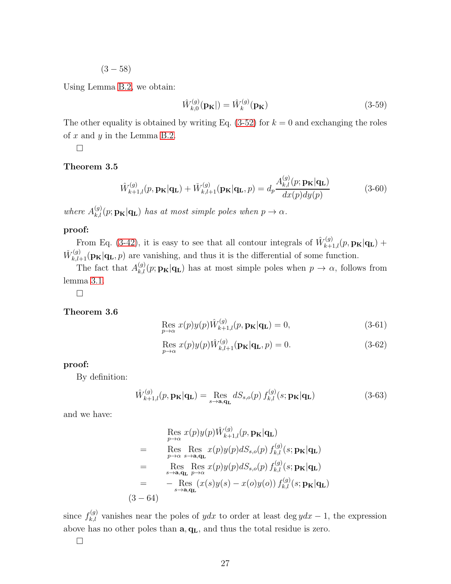$(3 - 58)$ 

Using Lemma [B.2,](#page-31-0) we obtain:

$$
\hat{W}_{k,0}^{(g)}(\mathbf{p}_{\mathbf{K}}|) = \hat{W}_k^{(g)}(\mathbf{p}_{\mathbf{K}})
$$
\n(3-59)

The other equality is obtained by writing Eq.  $(3-52)$  for  $k = 0$  and exchanging the roles of  $x$  and  $y$  in the Lemma [B.2.](#page-31-0)

 $\Box$ 

#### Theorem 3.5

$$
\hat{W}_{k+1,l}^{(g)}(p, \mathbf{p}_{\mathbf{K}}|\mathbf{q}_{\mathbf{L}}) + \check{W}_{k,l+1}^{(g)}(\mathbf{p}_{\mathbf{K}}|\mathbf{q}_{\mathbf{L}}, p) = d_p \frac{A_{k,l}^{(g)}(p; \mathbf{p}_{\mathbf{K}}|\mathbf{q}_{\mathbf{L}})}{dx(p)dy(p)}
$$
(3-60)

*where*  $A_{k,l}^{(g)}(p; \mathbf{p}_{\mathbf{K}}|\mathbf{q}_{\mathbf{L}})$  *has at most simple poles when*  $p \to \alpha$ *.* 

#### proof:

From Eq. [\(3-42\)](#page-21-0), it is easy to see that all contour integrals of  $\hat{W}_{k+1,l}^{(g)}(p, \mathbf{p}_{\mathbf{K}}|\mathbf{q}_{\mathbf{L}})$  +  $\check{W}_{k,l+1}^{(g)}(\mathbf{p}_{\mathbf{K}}|\mathbf{q}_{\mathbf{L}},p)$  are vanishing, and thus it is the differential of some function.

The fact that  $A_{k,l}^{(g)}(p; \mathbf{p}_{\mathbf{K}}|\mathbf{q}_{\mathbf{L}})$  has at most simple poles when  $p \to \alpha$ , follows from lemma [3.1.](#page-16-2)

 $\Box$ 

#### Theorem 3.6

$$
\underset{p \to \alpha}{\text{Res}} x(p)y(p)\hat{W}_{k+1,l}^{(g)}(p, \mathbf{p}_{\mathbf{K}}|\mathbf{q}_{\mathbf{L}}) = 0, \tag{3-61}
$$

$$
\underset{p \to \alpha}{\text{Res}} x(p)y(p)\hat{W}_{k,l+1}^{(g)}(\mathbf{p}_{\mathbf{K}}|\mathbf{q}_{\mathbf{L}},p) = 0. \tag{3-62}
$$

proof:

By definition:

$$
\hat{W}_{k+1,l}^{(g)}(p, \mathbf{p}_{\mathbf{K}}|\mathbf{q}_{\mathbf{L}}) = \operatorname*{Res}_{s \to \mathbf{a}, \mathbf{q}_{\mathbf{L}}} dS_{s,o}(p) f_{k,l}^{(g)}(s; \mathbf{p}_{\mathbf{K}}|\mathbf{q}_{\mathbf{L}})
$$
(3-63)

and we have:

$$
\begin{aligned}\n\operatorname{Res}_{p \to \alpha} x(p)y(p)\hat{W}_{k+1,l}^{(g)}(p, \mathbf{p}_{\mathbf{K}}|\mathbf{q}_{\mathbf{L}}) \\
= & \operatorname{Res}_{p \to \alpha} \operatorname{Res}_{s \to \mathbf{a}, \mathbf{q}_{\mathbf{L}}} x(p)y(p)dS_{s,o}(p) f_{k,l}^{(g)}(s; \mathbf{p}_{\mathbf{K}}|\mathbf{q}_{\mathbf{L}}) \\
= & \operatorname{Res}_{s \to \mathbf{a}, \mathbf{q}_{\mathbf{L}}} \operatorname{Res}_{p \to \alpha} x(p)y(p)dS_{s,o}(p) f_{k,l}^{(g)}(s; \mathbf{p}_{\mathbf{K}}|\mathbf{q}_{\mathbf{L}}) \\
= & - \operatorname{Res}_{s \to \mathbf{a}, \mathbf{q}_{\mathbf{L}}} (x(s)y(s) - x(o)y(o)) f_{k,l}^{(g)}(s; \mathbf{p}_{\mathbf{K}}|\mathbf{q}_{\mathbf{L}}) \\
(3-64)\n\end{aligned}
$$

since  $f_{k,l}^{(g)}$  vanishes near the poles of ydx to order at least deg ydx – 1, the expression above has no other poles than  $\mathbf{a}, \mathbf{q}_\mathbf{L},$  and thus the total residue is zero.

 $\Box$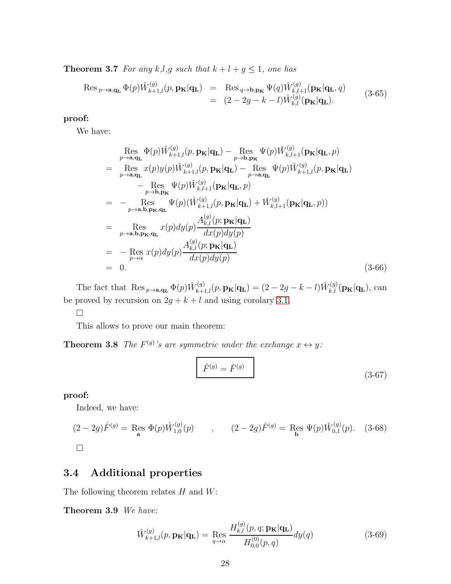**Theorem 3.7** For any k,l,g such that  $k + l + g \leq 1$ , one has

$$
\operatorname{Res}_{p \to \mathbf{a}, \mathbf{q}_\mathbf{L}} \Phi(p) \hat{W}_{k+1,l}^{(g)}(p, \mathbf{p}_\mathbf{K} | \mathbf{q}_\mathbf{L}) = \operatorname{Res}_{q \to \mathbf{b}, \mathbf{p}_\mathbf{K}} \Psi(q) \check{W}_{k,l+1}^{(g)}(\mathbf{p}_\mathbf{K} | \mathbf{q}_\mathbf{L}, q)
$$
\n
$$
= (2 - 2g - k - l) \hat{W}_{k,l}^{(g)}(\mathbf{p}_\mathbf{K} | \mathbf{q}_\mathbf{L}). \tag{3-65}
$$

proof:

We have:

$$
\operatorname{Res}_{p\to\mathbf{a},\mathbf{q_L}} \Phi(p)\hat{W}_{k+1,l}^{(g)}(p,\mathbf{p_K}|\mathbf{q_L}) - \operatorname{Res}_{p\to\mathbf{b},\mathbf{p_K}} \Psi(p)\check{W}_{k,l+1}^{(g)}(\mathbf{p_K}|\mathbf{q_L},p)
$$
\n
$$
= \operatorname{Res}_{p\to\mathbf{a},\mathbf{q_L}} x(p)y(p)\hat{W}_{k+1,l}^{(g)}(p,\mathbf{p_K}|\mathbf{q_L}) - \operatorname{Res}_{p\to\mathbf{a},\mathbf{q_L}} \Psi(p)\hat{W}_{k+1,l}^{(g)}(p,\mathbf{p_K}|\mathbf{q_L})
$$
\n
$$
- \operatorname{Res}_{p\to\mathbf{b},\mathbf{p_K}} \Psi(p)\check{W}_{k,l+1}^{(g)}(\mathbf{p_K}|\mathbf{q_L},p)
$$
\n
$$
= - \operatorname{Res}_{p\to\mathbf{a},\mathbf{b},\mathbf{p_K},\mathbf{q_L}} \Psi(p)(\hat{W}_{k+1,l}^{(g)}(p,\mathbf{p_K}|\mathbf{q_L}) + \check{W}_{k,l+1}^{(g)}(\mathbf{p_K}|\mathbf{q_L},p))
$$
\n
$$
= \operatorname{Res}_{p\to\mathbf{a},\mathbf{b},\mathbf{p_K},\mathbf{q_L}} x(p)dy(p)\frac{A_{k,l}^{(g)}(p;\mathbf{p_K}|\mathbf{q_L})}{dx(p)dy(p)}
$$
\n
$$
= - \operatorname{Res}_{p\to\alpha} x(p)dy(p)\frac{A_{k,l}^{(g)}(p;\mathbf{p_K}|\mathbf{q_L})}{dx(p)dy(p)}
$$
\n
$$
= 0.
$$
\n(3-66)

The fact that  $\operatorname{Res}_{p\to\mathbf{a},\mathbf{q}_\mathbf{L}} \Phi(p) \hat{W}_{k+1,l}^{(g)}(p,\mathbf{p}_\mathbf{K}|\mathbf{q}_\mathbf{L}) = (2-2g-k-l)\hat{W}_{k,l}^{(g)}(\mathbf{p}_\mathbf{K}|\mathbf{q}_\mathbf{L}),$  can be proved by recursion on  $2g + k + l$  and using corolary [3.1.](#page-25-0)

 $\Box$ 

This allows to prove our main theorem:

**Theorem 3.8** *The*  $F^{(g)}$ 's are symmetric under the exchange  $x \leftrightarrow y$ :

$$
\hat{F}^{(g)} = \check{F}^{(g)} \tag{3-67}
$$

proof:

Indeed, we have:

$$
(2-2g)\hat{F}^{(g)} = \operatorname{Res}_{\mathbf{a}} \Phi(p)\hat{W}_{1,0}^{(g)}(p) \qquad , \qquad (2-2g)\check{F}^{(g)} = \operatorname{Res}_{\mathbf{b}} \Psi(p)\check{W}_{0,1}^{(g)}(p). \quad (3-68)
$$

 $\Box$ 

### 3.4 Additional properties

The following theorem relates  $H$  and  $W$ :

Theorem 3.9 *We have:*

$$
\hat{W}_{k+1,l}^{(g)}(p, \mathbf{p}_{\mathbf{K}}|\mathbf{q}_{\mathbf{L}}) = \operatorname{Res}_{q \to \alpha} \frac{H_{k,l}^{(g)}(p, q; \mathbf{p}_{\mathbf{K}}|\mathbf{q}_{\mathbf{L}})}{H_{0,0}^{(0)}(p, q)} dy(q)
$$
(3-69)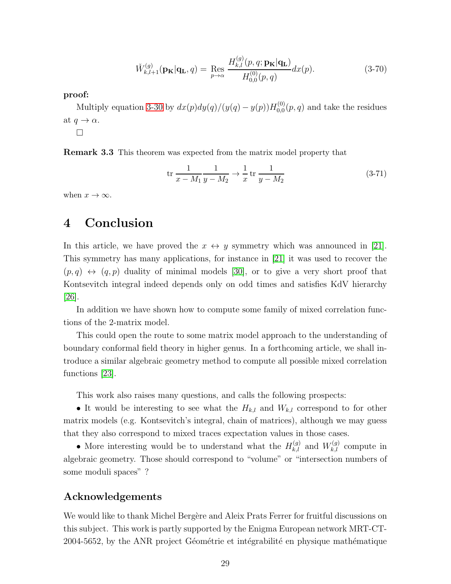$$
\tilde{W}_{k,l+1}^{(g)}(\mathbf{p}_{\mathbf{K}}|\mathbf{q}_{\mathbf{L}},q) = \operatorname{Res}_{p\to\alpha} \frac{H_{k,l}^{(g)}(p,q;\mathbf{p}_{\mathbf{K}}|\mathbf{q}_{\mathbf{L}})}{H_{0,0}^{(0)}(p,q)} dx(p). \tag{3-70}
$$

proof:

Multiply equation [3-30](#page-16-0) by  $dx(p)dy(q)/(y(q) - y(p))H_{0,0}^{(0)}$  $_{0,0}^{(0)}(p,q)$  and take the residues at  $q \to \alpha$ .  $\Box$ 

Remark 3.3 This theorem was expected from the matrix model property that

$$
\text{tr}\,\frac{1}{x - M_1}\frac{1}{y - M_2} \to \frac{1}{x} \,\text{tr}\,\frac{1}{y - M_2} \tag{3-71}
$$

when  $x \to \infty$ .

# 4 Conclusion

In this article, we have proved the  $x \leftrightarrow y$  symmetry which was announced in [\[21\]](#page-35-0). This symmetry has many applications, for instance in [\[21\]](#page-35-0) it was used to recover the  $(p, q) \leftrightarrow (q, p)$  duality of minimal models [\[30\]](#page-35-13), or to give a very short proof that Kontsevitch integral indeed depends only on odd times and satisfies KdV hierarchy [\[26\]](#page-35-14).

In addition we have shown how to compute some family of mixed correlation functions of the 2-matrix model.

This could open the route to some matrix model approach to the understanding of boundary conformal field theory in higher genus. In a forthcoming article, we shall introduce a similar algebraic geometry method to compute all possible mixed correlation functions [\[23\]](#page-35-6).

This work also raises many questions, and calls the following prospects:

• It would be interesting to see what the  $H_{k,l}$  and  $W_{k,l}$  correspond to for other matrix models (e.g. Kontsevitch's integral, chain of matrices), although we may guess that they also correspond to mixed traces expectation values in those cases.

• More interesting would be to understand what the  $H_{k,l}^{(g)}$  and  $W_{k,l}^{(g)}$  compute in algebraic geometry. Those should correspond to "volume" or "intersection numbers of some moduli spaces" ?

### Acknowledgements

We would like to thank Michel Bergère and Aleix Prats Ferrer for fruitful discussions on this subject. This work is partly supported by the Enigma European network MRT-CT- $2004-5652$ , by the ANR project Géométrie et intégrabilité en physique mathématique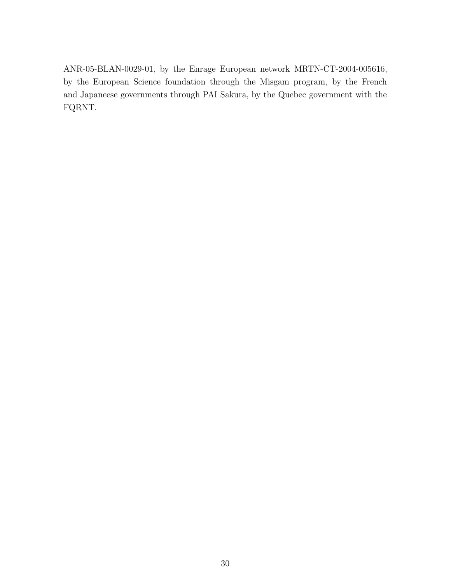ANR-05-BLAN-0029-01, by the Enrage European network MRTN-CT-2004-005616, by the European Science foundation through the Misgam program, by the French and Japaneese governments through PAI Sakura, by the Quebec government with the FQRNT.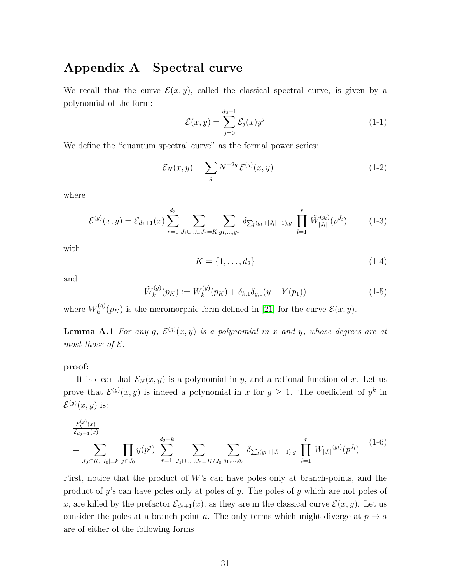# Appendix A Spectral curve

We recall that the curve  $\mathcal{E}(x, y)$ , called the classical spectral curve, is given by a polynomial of the form:

$$
\mathcal{E}(x,y) = \sum_{j=0}^{d_2+1} \mathcal{E}_j(x) y^j \tag{1-1}
$$

We define the "quantum spectral curve" as the formal power series:

$$
\mathcal{E}_N(x,y) = \sum_g N^{-2g} \mathcal{E}^{(g)}(x,y) \tag{1-2}
$$

where

$$
\mathcal{E}^{(g)}(x,y) = \mathcal{E}_{d_2+1}(x) \sum_{r=1}^{d_2} \sum_{J_1 \cup \ldots \cup J_r = K} \sum_{g_1,\ldots,g_r} \delta_{\sum_l (g_l + |J_l| - 1),g} \prod_{l=1}^r \tilde{W}^{(g_l)}_{|J_l|}(p^{J_l}) \tag{1-3}
$$

with

$$
K = \{1, \dots, d_2\} \tag{1-4}
$$

and

$$
\tilde{W}_k^{(g)}(p_K) := W_k^{(g)}(p_K) + \delta_{k,1}\delta_{g,0}(y - Y(p_1))
$$
\n(1-5)

<span id="page-30-0"></span>where  $W_k^{(g)}$  $\mathcal{E}_{k}^{(g)}(p_K)$  is the meromorphic form defined in [\[21\]](#page-35-0) for the curve  $\mathcal{E}(x, y)$ .

**Lemma A.1** For any g,  $\mathcal{E}^{(g)}(x,y)$  is a polynomial in x and y, whose degrees are at *most those of*  $\mathcal{E}$ *.* 

#### proof:

It is clear that  $\mathcal{E}_N(x, y)$  is a polynomial in y, and a rational function of x. Let us prove that  $\mathcal{E}^{(g)}(x,y)$  is indeed a polynomial in x for  $g \geq 1$ . The coefficient of  $y^k$  in  $\mathcal{E}^{(g)}(x,y)$  is:

$$
\frac{\varepsilon_k^{(g)}(x)}{\varepsilon_{d_2+1}(x)}
$$
\n
$$
= \sum_{J_0 \subset K, |J_0| = k} \prod_{j \in J_0} y(p^j) \sum_{r=1}^{d_2 - k} \sum_{J_1 \cup \ldots \cup J_r = K/J_0} \sum_{g_1, \ldots, g_r} \delta_{\sum_l (g_l + |J_l| - 1), g} \prod_{l=1}^r W_{|J_l|}^{(g_l)}(p^{J_l}) \tag{1-6}
$$

First, notice that the product of  $W$ 's can have poles only at branch-points, and the product of y's can have poles only at poles of y. The poles of y which are not poles of x, are killed by the prefactor  $\mathcal{E}_{d_2+1}(x)$ , as they are in the classical curve  $\mathcal{E}(x, y)$ . Let us consider the poles at a branch-point a. The only terms which might diverge at  $p \to a$ are of either of the following forms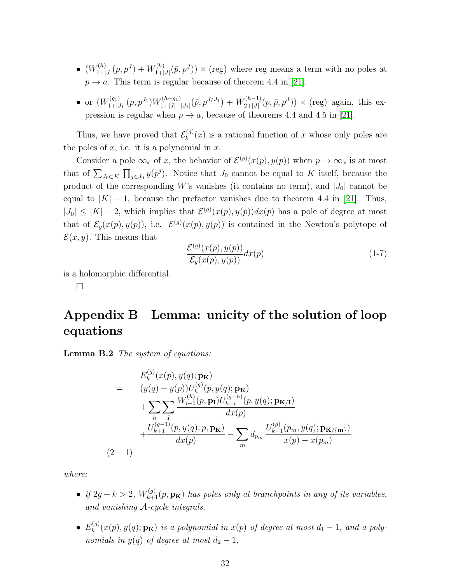- $\bullet$   $(W^{(h)}_{1+1}$  $W^{(h)}_{1+|J|}(p,p^J)+W^{(h)}_{1+|J|}$  $\mathcal{L}^{(h)}_{1+|J|}(\bar{p}, p^J) \times (\text{reg})$  where reg means a term with no poles at  $p \rightarrow a$ . This term is regular because of theorem 4.4 in [\[21\]](#page-35-0).
- $\bullet$  or  $(W_{1+1}^{(g_1)}$  $\frac{J_{1}(g_{1})}{1+|J_{1}|}(p,p^{J_{1}})W^{(h-g_{1})}_{1+|J|-1}$  $W^{(h-g_1)}_{1+|J|-|J_1|}(\bar p, p^{J/J_1}) + W^{(h-1)}_{2+|J|}$  $\chi^{(h-1)}_{2+|J|}(p,\bar{p},p^{J})) \times (\text{reg})$  again, this expression is regular when  $p \to a$ , because of theorems 4.4 and 4.5 in [\[21\]](#page-35-0).

Thus, we have proved that  $\mathcal{E}_k^{(g)}$  $\kappa_k^{(g)}(x)$  is a rational function of x whose only poles are the poles of  $x$ , i.e. it is a polynomial in  $x$ .

Consider a pole  $\infty_x$  of x, the behavior of  $\mathcal{E}^{(g)}(x(p), y(p))$  when  $p \to \infty_x$  is at most that of  $\sum_{J_0\subset K} \prod_{j\in J_0} y(p^j)$ . Notice that  $J_0$  cannot be equal to K itself, because the product of the corresponding W's vanishes (it contains no term), and  $|J_0|$  cannot be equal to  $|K| - 1$ , because the prefactor vanishes due to theorem 4.4 in [\[21\]](#page-35-0). Thus,  $|J_0| \leq |K| - 2$ , which implies that  $\mathcal{E}^{(g)}(x(p), y(p))dx(p)$  has a pole of degree at most that of  $\mathcal{E}_y(x(p), y(p))$ , i.e.  $\mathcal{E}^{(g)}(x(p), y(p))$  is contained in the Newton's polytope of  $\mathcal{E}(x, y)$ . This means that

$$
\frac{\mathcal{E}^{(g)}(x(p), y(p))}{\mathcal{E}_y(x(p), y(p))} dx(p) \tag{1-7}
$$

is a holomorphic differential.

 $\Box$ 

# Appendix B Lemma: unicity of the solution of loop equations

<span id="page-31-0"></span>Lemma B.2 *The system of equations:*

<span id="page-31-1"></span>
$$
E_k^{(g)}(x(p), y(q); \mathbf{p_k})
$$
\n
$$
= (y(q) - y(p))U_k^{(g)}(p, y(q); \mathbf{p_k})
$$
\n
$$
+ \sum_h \sum_l \frac{W_{i+1}^{(h)}(p, \mathbf{p_l})U_{k-i}^{(g-h)}(p, y(q); \mathbf{p_k})}{dx(p)} + \frac{U_{k+1}^{(g-1)}(p, y(q); p, \mathbf{p_k})}{dx(p)} - \sum_m d_{p_m} \frac{U_{k-1}^{(g)}(p_m, y(q); \mathbf{p_k}_{\text{m}})}{x(p) - x(p_m)}
$$
\n
$$
(2-1)
$$

*where:*

- *if*  $2g + k > 2$ ,  $W_{k+1}^{(g)}(p, \mathbf{p_k})$  *has poles only at branchpoints in any of its variables, and vanishing* A*-cycle integrals,*
- $\bullet$   $E_k^{(g)}$  $\mathbf{R}^{(g)}_k(x(p), y(q); \mathbf{p_k})$  *is a polynomial in*  $x(p)$  *of degree at most*  $d_1 - 1$ *, and a polynomials in*  $y(q)$  *of degree at most*  $d_2 - 1$ *,*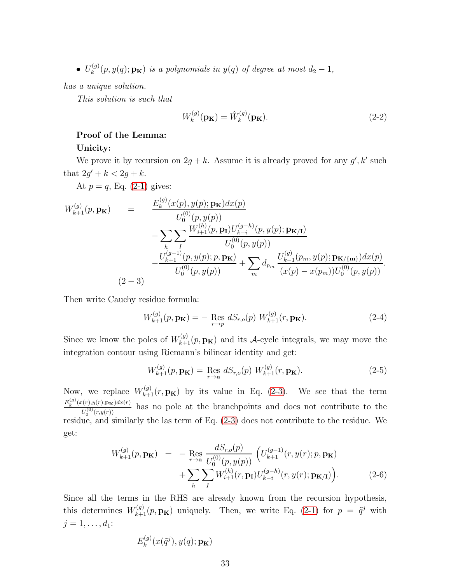$\bullet$   $U_k^{(g)}$  $h_k^{(g)}(p, y(q); \mathbf{p_k})$  *is a polynomials in*  $y(q)$  *of degree at most*  $d_2 - 1$ *,* 

*has a unique solution.*

*This solution is such that*

$$
W_k^{(g)}(\mathbf{p_K}) = \hat{W}_k^{(g)}(\mathbf{p_K}).\tag{2-2}
$$

#### Proof of the Lemma:

#### Unicity:

We prove it by recursion on  $2g + k$ . Assume it is already proved for any  $g', k'$  such that  $2g' + k < 2g + k$ .

At  $p = q$ , Eq. [\(2-1\)](#page-31-1) gives:

<span id="page-32-0"></span>
$$
W_{k+1}^{(g)}(p, \mathbf{p}_{\mathbf{K}}) = \frac{E_k^{(g)}(x(p), y(p); \mathbf{p}_{\mathbf{K}})dx(p)}{U_0^{(0)}(p, y(p))} - \sum_k \sum_l \frac{W_{i+1}^{(h)}(p, \mathbf{p}_{\mathbf{I}})U_{k-i}^{(g-h)}(p, y(p); \mathbf{p}_{\mathbf{K}/\mathbf{I}})}{U_0^{(0)}(p, y(p))} - \frac{U_{k+1}^{(g-1)}(p, y(p); p, \mathbf{p}_{\mathbf{K}})}{U_0^{(0)}(p, y(p))} + \sum_m d_{p_m} \frac{U_{k-1}^{(g)}(p_m, y(p); \mathbf{p}_{\mathbf{K}/\{\mathbf{m}\}})dx(p)}{(x(p) - x(p_m))U_0^{(0)}(p, y(p))}.
$$
\n(2-3)

Then write Cauchy residue formula:

$$
W_{k+1}^{(g)}(p, \mathbf{p}_{\mathbf{K}}) = -\operatorname{Res}_{r \to p} dS_{r,o}(p) W_{k+1}^{(g)}(r, \mathbf{p}_{\mathbf{K}}).
$$
 (2-4)

Since we know the poles of  $W_{k+1}^{(g)}(p, \mathbf{p_k})$  and its A-cycle integrals, we may move the integration contour using Riemann's bilinear identity and get:

$$
W_{k+1}^{(g)}(p, \mathbf{p}_{\mathbf{K}}) = \operatorname{Res}_{r \to \mathbf{a}} dS_{r,o}(p) W_{k+1}^{(g)}(r, \mathbf{p}_{\mathbf{K}}).
$$
 (2-5)

Now, we replace  $W_{k+1}^{(g)}(r, \mathbf{p_k})$  by its value in Eq. [\(2-3\)](#page-32-0). We see that the term  $E_k^{(g)}(x(r),y(r);\mathbf{p_K})dx(r)$  $U_0^{(r),g(r),\textbf{pK})a x(r)}$  has no pole at the branchpoints and does not contribute to the residue, and similarly the las term of Eq. [\(2-3\)](#page-32-0) does not contribute to the residue. We get:

$$
W_{k+1}^{(g)}(p, \mathbf{p}_{\mathbf{K}}) = - \operatorname{Res}_{r \to \mathbf{a}} \frac{dS_{r,o}(p)}{U_0^{(0)}(p, y(p))} \left( U_{k+1}^{(g-1)}(r, y(r); p, \mathbf{p}_{\mathbf{K}}) + \sum_{h} \sum_{I} W_{i+1}^{(h)}(r, \mathbf{p}_{\mathbf{I}}) U_{k-i}^{(g-h)}(r, y(r); \mathbf{p}_{\mathbf{K}/\mathbf{I}}) \right).
$$
 (2-6)

Since all the terms in the RHS are already known from the recursion hypothesis, this determines  $W_{k+1}^{(g)}(p, \mathbf{p_k})$  uniquely. Then, we write Eq. [\(2-1\)](#page-31-1) for  $p = \tilde{q}^j$  with  $j = 1, \ldots, d_1$ :

$$
E_k^{(g)}(x(\tilde{q}^j), y(q); \mathbf{p_K})
$$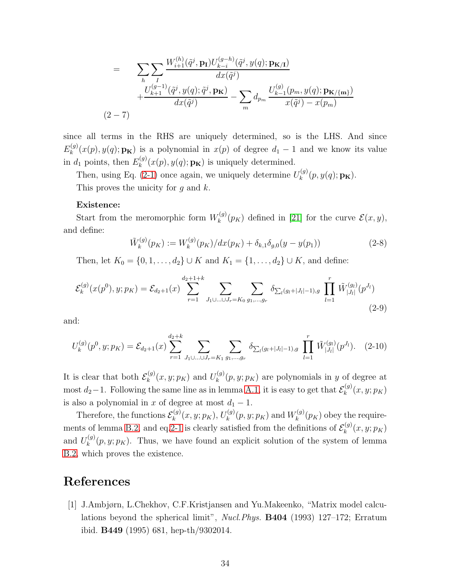$$
= \sum_{h} \sum_{I} \frac{W_{i+1}^{(h)}(\tilde{q}^{j}, \mathbf{p}_{\mathbf{I}}) U_{k-i}^{(g-h)}(\tilde{q}^{j}, y(q); \mathbf{p}_{\mathbf{K}/\mathbf{I}})}{dx(\tilde{q}^{j})} + \frac{U_{k+1}^{(g-1)}(\tilde{q}^{j}, y(q); \tilde{q}^{j}, \mathbf{p}_{\mathbf{K}})}{dx(\tilde{q}^{j})} - \sum_{m} d_{p_m} \frac{U_{k-1}^{(g)}(p_m, y(q); \mathbf{p}_{\mathbf{K}/\{\mathbf{m}\}})}{x(\tilde{q}^{j}) - x(p_m)}
$$
\n
$$
(2-7)
$$

since all terms in the RHS are uniquely determined, so is the LHS. And since  $E_k^{(g)}$  $k^{(g)}(x(p), y(q); \mathbf{p}_K)$  is a polynomial in  $x(p)$  of degree  $d_1 - 1$  and we know its value in  $d_1$  points, then  $E_k^{(g)}$  $k^{(g)}(x(p), y(q); \mathbf{p_K})$  is uniquely determined.

Then, using Eq. [\(2-1\)](#page-31-1) once again, we uniquely determine  $U_k^{(g)}$  $\mathfrak{c}^{(g)}_k(p,y(q);\mathbf{p_K}).$ This proves the unicity for  $q$  and  $k$ .

#### Existence:

Start from the meromorphic form  $W_k^{(g)}$  $\mathcal{E}_{k}^{(g)}(p_K)$  defined in [\[21\]](#page-35-0) for the curve  $\mathcal{E}(x,y)$ , and define:

$$
\tilde{W}_k^{(g)}(p_K) := W_k^{(g)}(p_K)/dx(p_K) + \delta_{k,1}\delta_{g,0}(y - y(p_1))
$$
\n(2-8)

Then, let  $K_0 = \{0, 1, ..., d_2\} \cup K$  and  $K_1 = \{1, ..., d_2\} \cup K$ , and define:

$$
\mathcal{E}_k^{(g)}(x(p^0), y; p_K) = \mathcal{E}_{d_2+1}(x) \sum_{r=1}^{d_2+1+k} \sum_{J_1 \cup \ldots \cup J_r = K_0} \sum_{g_1, \ldots, g_r} \delta_{\sum_l (g_l + |J_l| - 1), g} \prod_{l=1}^r \tilde{W}_{|J_l|}^{(g_l)}(p^{J_l})
$$
\n(2-9)

and:

$$
U_k^{(g)}(p^0, y; p_K) = \mathcal{E}_{d_2+1}(x) \sum_{r=1}^{d_2+k} \sum_{J_1 \cup \ldots \cup J_r = K_1} \sum_{g_1, \ldots, g_r} \delta_{\sum_l (g_l + |J_l| - 1), g} \prod_{l=1}^r \tilde{W}_{|J_l|}^{(g_l)}(p^{J_l}). \tag{2-10}
$$

It is clear that both  $\mathcal{E}_k^{(g)}$  $k^{(g)}(x, y; p_K)$  and  $U_k^{(g)}$  $k^{(g)}(p, y; p_K)$  are polynomials in y of degree at most  $d_2-1$ . Following the same line as in lemma [A.1,](#page-30-0) it is easy to get that  $\mathcal{E}_k^{(g)}$  $\chi_k^{(g)}(x,y;p_K)$ is also a polynomial in x of degree at most  $d_1 - 1$ .

Therefore, the functions  $\mathcal{E}_k^{(g)}$  $k^{(g)}(x, y; p_K), U_k^{(g)}$  $\mathcal{U}_k^{(g)}(p,y;p_K)$  and  $W_k^{(g)}$  $\chi_k^{(g)}(p_K)$  obey the require-ments of lemma [B.2,](#page-31-0) and eq. 2-1 is clearly satisfied from the definitions of  $\mathcal{E}_k^{(g)}$  $f_k^{(g)}(x,y;p_K)$ and  $U_k^{(g)}$  $k_k^{(g)}(p, y; p_K)$ . Thus, we have found an explicit solution of the system of lemma [B.2,](#page-31-0) which proves the existence.

## <span id="page-33-0"></span>References

[1] J.Ambjørn, L.Chekhov, C.F.Kristjansen and Yu.Makeenko, "Matrix model calculations beyond the spherical limit", *Nucl.Phys.* B404 (1993) 127–172; Erratum ibid. B449 (1995) 681, hep-th/9302014.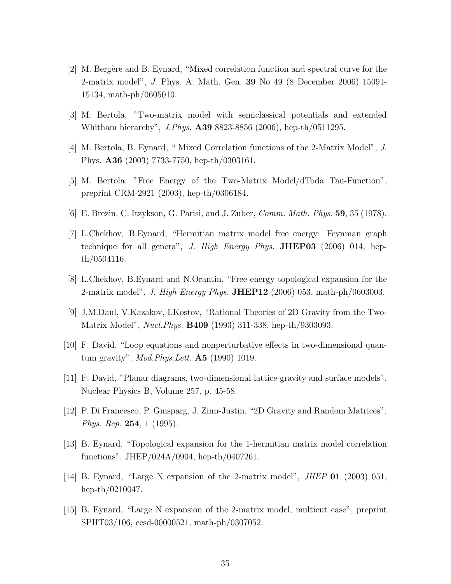- <span id="page-34-11"></span>[2] M. Bergère and B. Eynard, "Mixed correlation function and spectral curve for the 2-matrix model", *J*. Phys. A: Math. Gen. 39 No 49 (8 December 2006) 15091- 15134, math-ph/0605010.
- <span id="page-34-9"></span><span id="page-34-0"></span>[3] M. Bertola, "Two-matrix model with semiclassical potentials and extended Whitham hierarchy", *J.Phys.* A39 8823-8856 (2006), hep-th/0511295.
- <span id="page-34-4"></span>[4] M. Bertola, B. Eynard, " Mixed Correlation functions of the 2-Matrix Model", *J*. Phys. A36 (2003) 7733-7750, hep-th/0303161.
- <span id="page-34-3"></span>[5] M. Bertola, "Free Energy of the Two-Matrix Model/dToda Tau-Function", preprint CRM-2921 (2003), hep-th/0306184.
- <span id="page-34-7"></span>[6] E. Brezin, C. Itzykson, G. Parisi, and J. Zuber, *Comm. Math. Phys.* 59, 35 (1978).
- [7] L.Chekhov, B.Eynard, "Hermitian matrix model free energy: Feynman graph technique for all genera", *J. High Energy Phys.* JHEP03 (2006) 014, hepth/0504116.
- <span id="page-34-10"></span><span id="page-34-8"></span>[8] L.Chekhov, B.Eynard and N.Orantin, "Free energy topological expansion for the 2-matrix model", *J. High Energy Phys.* JHEP12 (2006) 053, math-ph/0603003.
- <span id="page-34-12"></span>[9] J.M.Daul, V.Kazakov, I.Kostov, "Rational Theories of 2D Gravity from the Two-Matrix Model", *Nucl.Phys.* B409 (1993) 311-338, hep-th/9303093.
- <span id="page-34-2"></span>[10] F. David, "Loop equations and nonperturbative effects in two-dimensional quantum gravity". *Mod.Phys.Lett.* A5 (1990) 1019.
- <span id="page-34-1"></span>[11] F. David, "Planar diagrams, two-dimensional lattice gravity and surface models", Nuclear Physics B, Volume 257, p. 45-58.
- <span id="page-34-6"></span>[12] P. Di Francesco, P. Ginsparg, J. Zinn-Justin, "2D Gravity and Random Matrices", *Phys. Rep.* 254, 1 (1995).
- <span id="page-34-5"></span>[13] B. Eynard, "Topological expansion for the 1-hermitian matrix model correlation functions", JHEP/024A/0904, hep-th/0407261.
- <span id="page-34-13"></span>[14] B. Eynard, "Large N expansion of the 2-matrix model", *JHEP* 01 (2003) 051, hep-th/0210047.
- [15] B. Eynard, "Large N expansion of the 2-matrix model, multicut case", preprint SPHT03/106, ccsd-00000521, math-ph/0307052.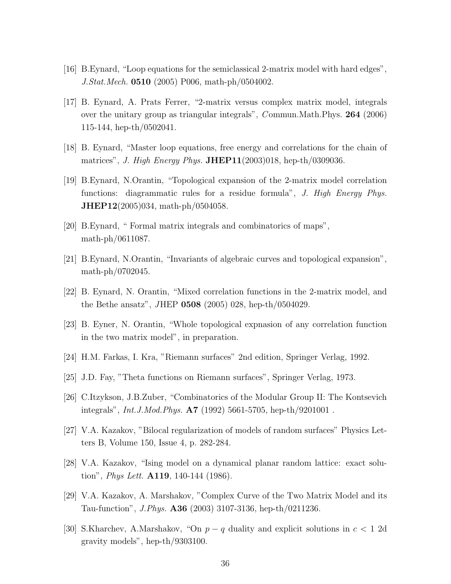- <span id="page-35-12"></span><span id="page-35-5"></span>[16] B.Eynard, "Loop equations for the semiclassical 2-matrix model with hard edges", *J.Stat.Mech.* 0510 (2005) P006, math-ph/0504002.
- [17] B. Eynard, A. Prats Ferrer, "2-matrix versus complex matrix model, integrals over the unitary group as triangular integrals", *C* ommun.Math.Phys. 264 (2006) 115-144, hep-th/0502041.
- <span id="page-35-4"></span><span id="page-35-3"></span>[18] B. Eynard, "Master loop equations, free energy and correlations for the chain of matrices", *J. High Energy Phys.* JHEP11(2003)018, hep-th/0309036.
- [19] B.Eynard, N.Orantin, "Topological expansion of the 2-matrix model correlation functions: diagrammatic rules for a residue formula", *J. High Energy Phys.* JHEP12(2005)034, math-ph/0504058.
- <span id="page-35-8"></span><span id="page-35-0"></span>[20] B.Eynard, " Formal matrix integrals and combinatorics of maps", math-ph/0611087.
- <span id="page-35-7"></span>[21] B.Eynard, N.Orantin, "Invariants of algebraic curves and topological expansion", math-ph/0702045.
- <span id="page-35-6"></span>[22] B. Eynard, N. Orantin, "Mixed correlation functions in the 2-matrix model, and the Bethe ansatz", *J*HEP 0508 (2005) 028, hep-th/0504029.
- <span id="page-35-11"></span>[23] B. Eyner, N. Orantin, "Whole topological expnasion of any correlation function in the two matrix model", in preparation.
- <span id="page-35-10"></span>[24] H.M. Farkas, I. Kra, "Riemann surfaces" 2nd edition, Springer Verlag, 1992.
- <span id="page-35-14"></span>[25] J.D. Fay, "Theta functions on Riemann surfaces", Springer Verlag, 1973.
- <span id="page-35-1"></span>[26] C.Itzykson, J.B.Zuber, "Combinatorics of the Modular Group II: The Kontsevich integrals", *Int.J.Mod.Phys.* A7 (1992) 5661-5705, hep-th/9201001 .
- <span id="page-35-9"></span>[27] V.A. Kazakov, "Bilocal regularization of models of random surfaces" Physics Letters B, Volume 150, Issue 4, p. 282-284.
- <span id="page-35-2"></span>[28] V.A. Kazakov, "Ising model on a dynamical planar random lattice: exact solution", *Phys Lett.* A119, 140-144 (1986).
- <span id="page-35-13"></span>[29] V.A. Kazakov, A. Marshakov, "Complex Curve of the Two Matrix Model and its Tau-function", *J.Phys.* A36 (2003) 3107-3136, hep-th/0211236.
- [30] S.Kharchev, A.Marshakov, "On  $p q$  duality and explicit solutions in  $c < 1$  2d gravity models", hep-th/9303100.